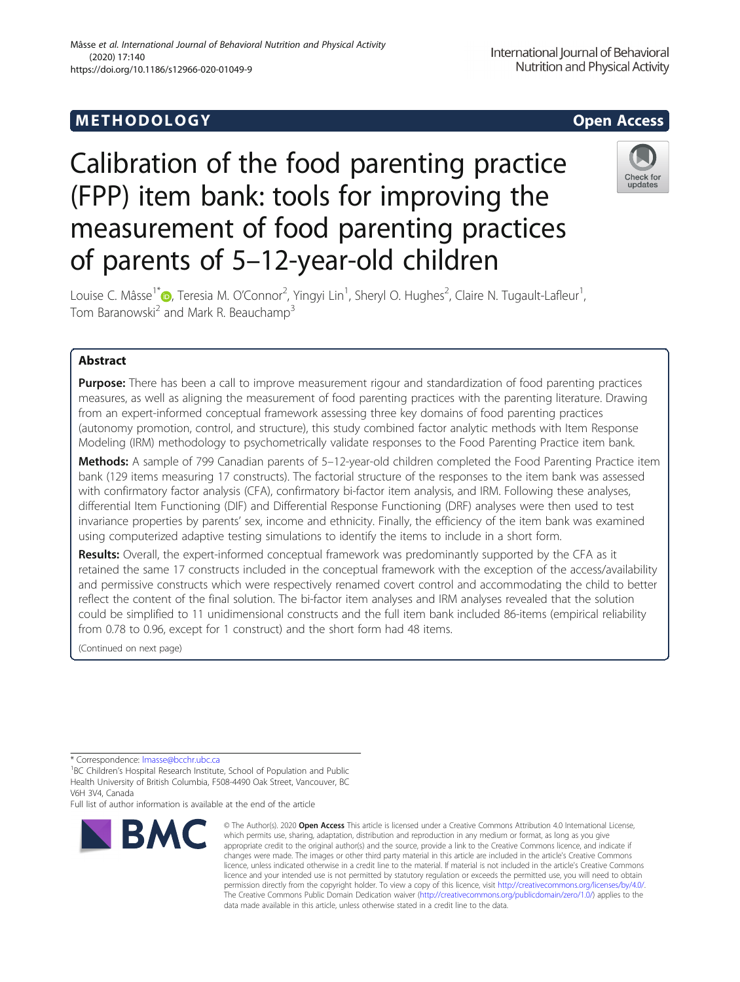# **METHODOLOGY CONSUMING ACCESS**

# Calibration of the food parenting practice (FPP) item bank: tools for improving the measurement of food parenting practices of parents of 5–12-year-old children



Louise C. Mâsse<sup>1[\\*](http://orcid.org/0000-0003-2483-8791)</sup>®, Teresia M. O'Connor<sup>2</sup>, Yingyi Lin<sup>1</sup>, Sheryl O. Hughes<sup>2</sup>, Claire N. Tugault-Lafleur<sup>1</sup> , Tom Baranowski<sup>2</sup> and Mark R. Beauchamp<sup>3</sup>

# Abstract

**Purpose:** There has been a call to improve measurement rigour and standardization of food parenting practices measures, as well as aligning the measurement of food parenting practices with the parenting literature. Drawing from an expert-informed conceptual framework assessing three key domains of food parenting practices (autonomy promotion, control, and structure), this study combined factor analytic methods with Item Response Modeling (IRM) methodology to psychometrically validate responses to the Food Parenting Practice item bank.

Methods: A sample of 799 Canadian parents of 5-12-year-old children completed the Food Parenting Practice item bank (129 items measuring 17 constructs). The factorial structure of the responses to the item bank was assessed with confirmatory factor analysis (CFA), confirmatory bi-factor item analysis, and IRM. Following these analyses, differential Item Functioning (DIF) and Differential Response Functioning (DRF) analyses were then used to test invariance properties by parents' sex, income and ethnicity. Finally, the efficiency of the item bank was examined using computerized adaptive testing simulations to identify the items to include in a short form.

Results: Overall, the expert-informed conceptual framework was predominantly supported by the CFA as it retained the same 17 constructs included in the conceptual framework with the exception of the access/availability and permissive constructs which were respectively renamed covert control and accommodating the child to better reflect the content of the final solution. The bi-factor item analyses and IRM analyses revealed that the solution could be simplified to 11 unidimensional constructs and the full item bank included 86-items (empirical reliability from 0.78 to 0.96, except for 1 construct) and the short form had 48 items.

(Continued on next page)

\* Correspondence: [lmasse@bcchr.ubc.ca](mailto:lmasse@bcchr.ubc.ca) <sup>1</sup>

<sup>1</sup>BC Children's Hospital Research Institute, School of Population and Public Health University of British Columbia, F508-4490 Oak Street, Vancouver, BC V6H 3V4, Canada

Full list of author information is available at the end of the article



<sup>©</sup> The Author(s), 2020 **Open Access** This article is licensed under a Creative Commons Attribution 4.0 International License, which permits use, sharing, adaptation, distribution and reproduction in any medium or format, as long as you give appropriate credit to the original author(s) and the source, provide a link to the Creative Commons licence, and indicate if changes were made. The images or other third party material in this article are included in the article's Creative Commons licence, unless indicated otherwise in a credit line to the material. If material is not included in the article's Creative Commons licence and your intended use is not permitted by statutory regulation or exceeds the permitted use, you will need to obtain permission directly from the copyright holder. To view a copy of this licence, visit [http://creativecommons.org/licenses/by/4.0/.](http://creativecommons.org/licenses/by/4.0/) The Creative Commons Public Domain Dedication waiver [\(http://creativecommons.org/publicdomain/zero/1.0/](http://creativecommons.org/publicdomain/zero/1.0/)) applies to the data made available in this article, unless otherwise stated in a credit line to the data.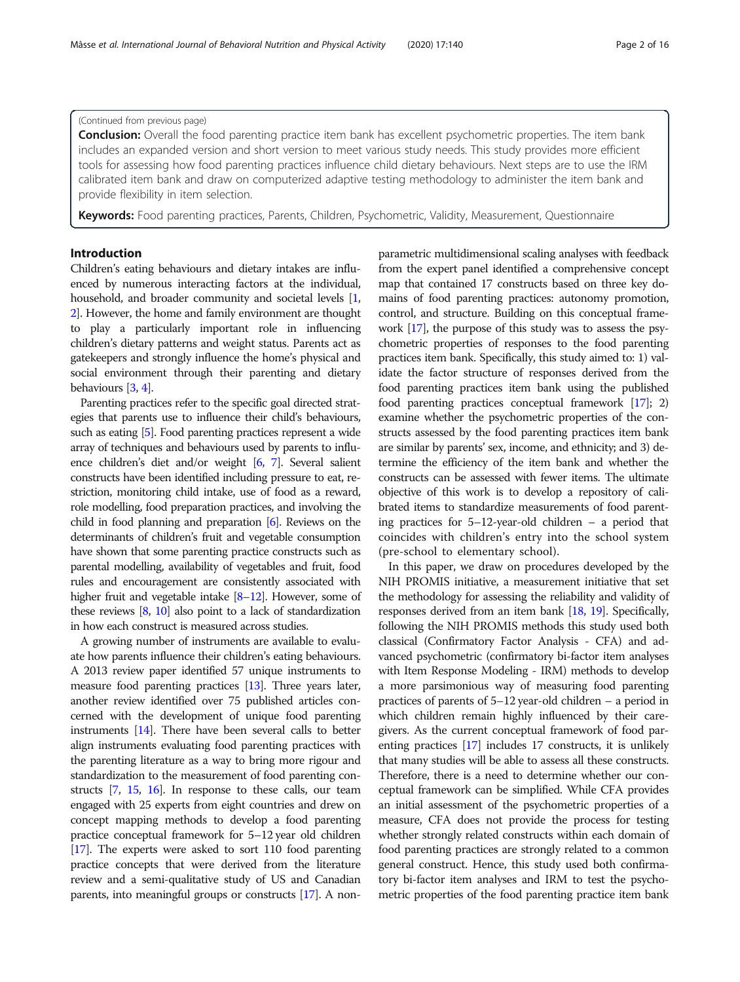# (Continued from previous page)

Conclusion: Overall the food parenting practice item bank has excellent psychometric properties. The item bank includes an expanded version and short version to meet various study needs. This study provides more efficient tools for assessing how food parenting practices influence child dietary behaviours. Next steps are to use the IRM calibrated item bank and draw on computerized adaptive testing methodology to administer the item bank and provide flexibility in item selection.

Keywords: Food parenting practices, Parents, Children, Psychometric, Validity, Measurement, Questionnaire

# Introduction

Children's eating behaviours and dietary intakes are influenced by numerous interacting factors at the individual, household, and broader community and societal levels [[1](#page-14-0), [2](#page-14-0)]. However, the home and family environment are thought to play a particularly important role in influencing children's dietary patterns and weight status. Parents act as gatekeepers and strongly influence the home's physical and social environment through their parenting and dietary behaviours [[3](#page-14-0), [4\]](#page-14-0).

Parenting practices refer to the specific goal directed strategies that parents use to influence their child's behaviours, such as eating [\[5](#page-14-0)]. Food parenting practices represent a wide array of techniques and behaviours used by parents to influence children's diet and/or weight [\[6](#page-14-0), [7](#page-14-0)]. Several salient constructs have been identified including pressure to eat, restriction, monitoring child intake, use of food as a reward, role modelling, food preparation practices, and involving the child in food planning and preparation [\[6\]](#page-14-0). Reviews on the determinants of children's fruit and vegetable consumption have shown that some parenting practice constructs such as parental modelling, availability of vegetables and fruit, food rules and encouragement are consistently associated with higher fruit and vegetable intake [[8](#page-14-0)–[12](#page-14-0)]. However, some of these reviews [\[8](#page-14-0), [10](#page-14-0)] also point to a lack of standardization in how each construct is measured across studies.

A growing number of instruments are available to evaluate how parents influence their children's eating behaviours. A 2013 review paper identified 57 unique instruments to measure food parenting practices [\[13](#page-14-0)]. Three years later, another review identified over 75 published articles concerned with the development of unique food parenting instruments [\[14](#page-14-0)]. There have been several calls to better align instruments evaluating food parenting practices with the parenting literature as a way to bring more rigour and standardization to the measurement of food parenting constructs [[7](#page-14-0), [15,](#page-14-0) [16](#page-14-0)]. In response to these calls, our team engaged with 25 experts from eight countries and drew on concept mapping methods to develop a food parenting practice conceptual framework for 5–12 year old children [[17](#page-14-0)]. The experts were asked to sort 110 food parenting practice concepts that were derived from the literature review and a semi-qualitative study of US and Canadian parents, into meaningful groups or constructs [\[17\]](#page-14-0). A non-

parametric multidimensional scaling analyses with feedback from the expert panel identified a comprehensive concept map that contained 17 constructs based on three key domains of food parenting practices: autonomy promotion, control, and structure. Building on this conceptual framework [\[17](#page-14-0)], the purpose of this study was to assess the psychometric properties of responses to the food parenting practices item bank. Specifically, this study aimed to: 1) validate the factor structure of responses derived from the food parenting practices item bank using the published food parenting practices conceptual framework [[17\]](#page-14-0); 2) examine whether the psychometric properties of the constructs assessed by the food parenting practices item bank are similar by parents' sex, income, and ethnicity; and 3) determine the efficiency of the item bank and whether the constructs can be assessed with fewer items. The ultimate objective of this work is to develop a repository of calibrated items to standardize measurements of food parenting practices for 5–12-year-old children – a period that coincides with children's entry into the school system (pre-school to elementary school).

In this paper, we draw on procedures developed by the NIH PROMIS initiative, a measurement initiative that set the methodology for assessing the reliability and validity of responses derived from an item bank [\[18,](#page-14-0) [19\]](#page-14-0). Specifically, following the NIH PROMIS methods this study used both classical (Confirmatory Factor Analysis - CFA) and advanced psychometric (confirmatory bi-factor item analyses with Item Response Modeling - IRM) methods to develop a more parsimonious way of measuring food parenting practices of parents of 5–12 year-old children – a period in which children remain highly influenced by their caregivers. As the current conceptual framework of food parenting practices [\[17\]](#page-14-0) includes 17 constructs, it is unlikely that many studies will be able to assess all these constructs. Therefore, there is a need to determine whether our conceptual framework can be simplified. While CFA provides an initial assessment of the psychometric properties of a measure, CFA does not provide the process for testing whether strongly related constructs within each domain of food parenting practices are strongly related to a common general construct. Hence, this study used both confirmatory bi-factor item analyses and IRM to test the psychometric properties of the food parenting practice item bank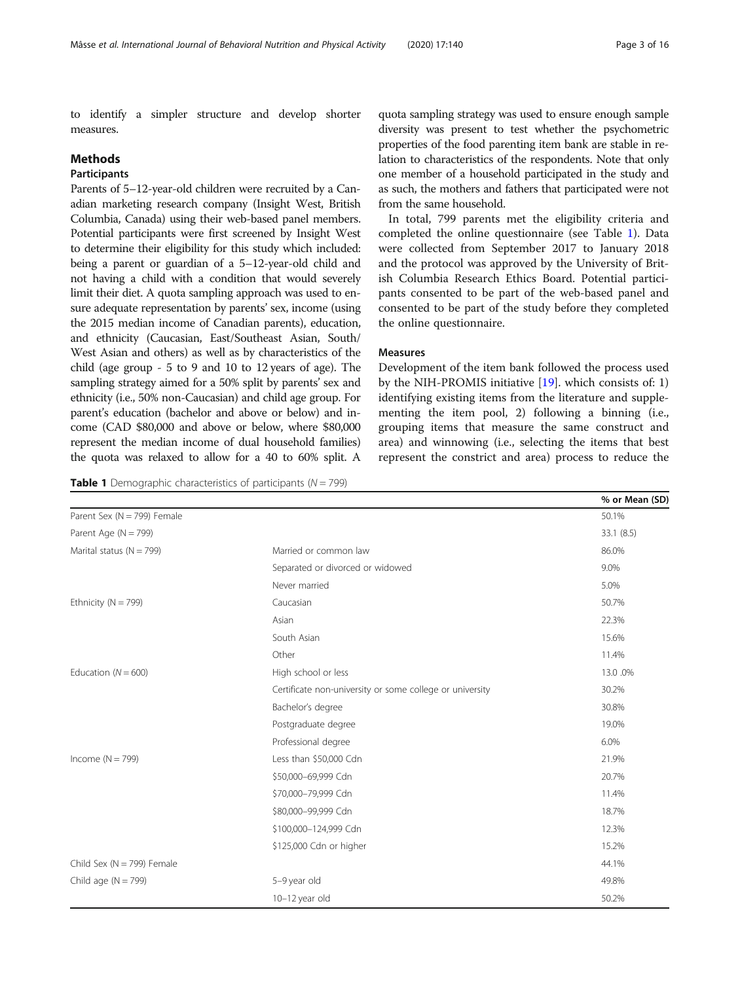to identify a simpler structure and develop shorter measures.

# **Methods**

# **Participants**

Parents of 5–12-year-old children were recruited by a Canadian marketing research company (Insight West, British Columbia, Canada) using their web-based panel members. Potential participants were first screened by Insight West to determine their eligibility for this study which included: being a parent or guardian of a 5–12-year-old child and not having a child with a condition that would severely limit their diet. A quota sampling approach was used to ensure adequate representation by parents' sex, income (using the 2015 median income of Canadian parents), education, and ethnicity (Caucasian, East/Southeast Asian, South/ West Asian and others) as well as by characteristics of the child (age group - 5 to 9 and 10 to 12 years of age). The sampling strategy aimed for a 50% split by parents' sex and ethnicity (i.e., 50% non-Caucasian) and child age group. For parent's education (bachelor and above or below) and income (CAD \$80,000 and above or below, where \$80,000 represent the median income of dual household families) the quota was relaxed to allow for a 40 to 60% split. A

**Table 1** Demographic characteristics of participants ( $N = 799$ )

quota sampling strategy was used to ensure enough sample diversity was present to test whether the psychometric properties of the food parenting item bank are stable in relation to characteristics of the respondents. Note that only one member of a household participated in the study and as such, the mothers and fathers that participated were not from the same household.

In total, 799 parents met the eligibility criteria and completed the online questionnaire (see Table 1). Data were collected from September 2017 to January 2018 and the protocol was approved by the University of British Columbia Research Ethics Board. Potential participants consented to be part of the web-based panel and consented to be part of the study before they completed the online questionnaire.

## Measures

Development of the item bank followed the process used by the NIH-PROMIS initiative [\[19](#page-14-0)]. which consists of: 1) identifying existing items from the literature and supplementing the item pool, 2) following a binning (i.e., grouping items that measure the same construct and area) and winnowing (i.e., selecting the items that best represent the constrict and area) process to reduce the

|                                 |                                                          | % or Mean (SD) |
|---------------------------------|----------------------------------------------------------|----------------|
| Parent Sex ( $N = 799$ ) Female |                                                          | 50.1%          |
| Parent Age ( $N = 799$ )        |                                                          | 33.1(8.5)      |
| Marital status ( $N = 799$ )    | Married or common law                                    | 86.0%          |
|                                 | Separated or divorced or widowed                         | 9.0%           |
|                                 | Never married                                            | 5.0%           |
| Ethnicity ( $N = 799$ )         | Caucasian                                                | 50.7%          |
|                                 | Asian                                                    | 22.3%          |
|                                 | South Asian                                              | 15.6%          |
|                                 | Other                                                    | 11.4%          |
| Education ( $N = 600$ )         | High school or less                                      | 13.0.0%        |
|                                 | Certificate non-university or some college or university | 30.2%          |
|                                 | Bachelor's degree                                        | 30.8%          |
|                                 | Postgraduate degree                                      | 19.0%          |
|                                 | Professional degree                                      | 6.0%           |
| Income $(N = 799)$              | Less than \$50,000 Cdn                                   | 21.9%          |
|                                 | \$50,000-69,999 Cdn                                      | 20.7%          |
|                                 | \$70,000-79,999 Cdn                                      | 11.4%          |
|                                 | \$80,000-99,999 Cdn                                      | 18.7%          |
|                                 | \$100,000-124,999 Cdn                                    | 12.3%          |
|                                 | \$125,000 Cdn or higher                                  | 15.2%          |
| Child Sex ( $N = 799$ ) Female  |                                                          | 44.1%          |
| Child age $(N = 799)$           | 5-9 year old                                             | 49.8%          |
|                                 | 10-12 year old                                           | 50.2%          |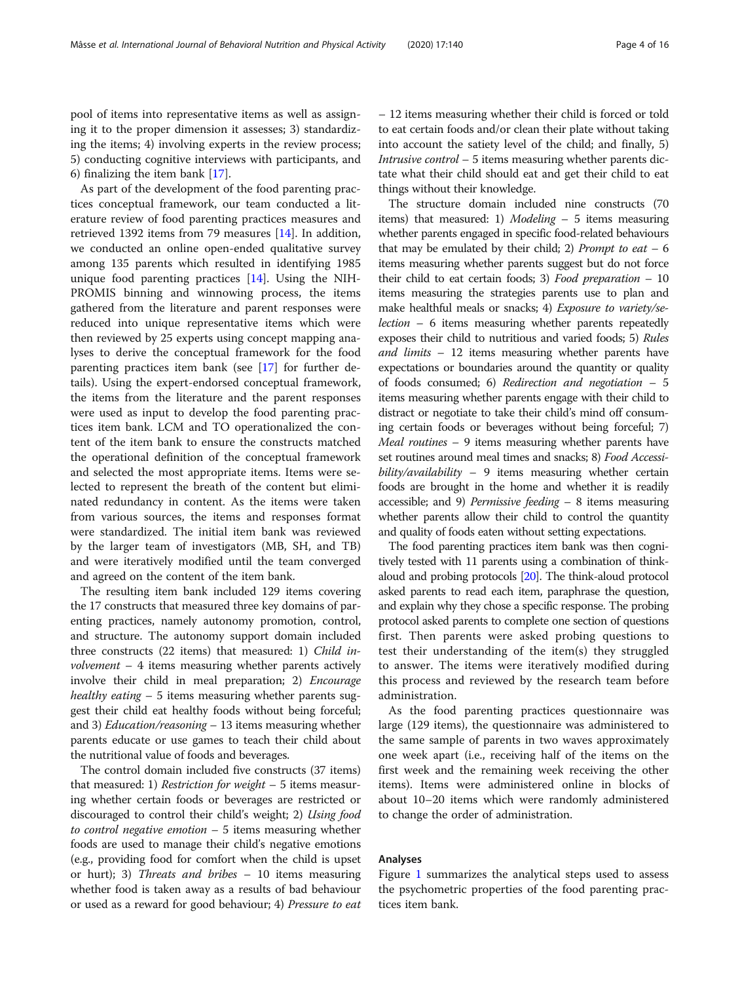pool of items into representative items as well as assigning it to the proper dimension it assesses; 3) standardizing the items; 4) involving experts in the review process; 5) conducting cognitive interviews with participants, and 6) finalizing the item bank [[17\]](#page-14-0).

As part of the development of the food parenting practices conceptual framework, our team conducted a literature review of food parenting practices measures and retrieved 1392 items from 79 measures [[14](#page-14-0)]. In addition, we conducted an online open-ended qualitative survey among 135 parents which resulted in identifying 1985 unique food parenting practices  $[14]$  $[14]$ . Using the NIH-PROMIS binning and winnowing process, the items gathered from the literature and parent responses were reduced into unique representative items which were then reviewed by 25 experts using concept mapping analyses to derive the conceptual framework for the food parenting practices item bank (see [[17\]](#page-14-0) for further details). Using the expert-endorsed conceptual framework, the items from the literature and the parent responses were used as input to develop the food parenting practices item bank. LCM and TO operationalized the content of the item bank to ensure the constructs matched the operational definition of the conceptual framework and selected the most appropriate items. Items were selected to represent the breath of the content but eliminated redundancy in content. As the items were taken from various sources, the items and responses format were standardized. The initial item bank was reviewed by the larger team of investigators (MB, SH, and TB) and were iteratively modified until the team converged and agreed on the content of the item bank.

The resulting item bank included 129 items covering the 17 constructs that measured three key domains of parenting practices, namely autonomy promotion, control, and structure. The autonomy support domain included three constructs (22 items) that measured: 1) Child in $volvement - 4$  items measuring whether parents actively involve their child in meal preparation; 2) Encourage healthy eating – 5 items measuring whether parents suggest their child eat healthy foods without being forceful; and 3) Education/reasoning – 13 items measuring whether parents educate or use games to teach their child about the nutritional value of foods and beverages.

The control domain included five constructs (37 items) that measured: 1) Restriction for weight  $-5$  items measuring whether certain foods or beverages are restricted or discouraged to control their child's weight; 2) Using food to control negative emotion  $-5$  items measuring whether foods are used to manage their child's negative emotions (e.g., providing food for comfort when the child is upset or hurt); 3) Threats and bribes – 10 items measuring whether food is taken away as a results of bad behaviour or used as a reward for good behaviour; 4) Pressure to eat

– 12 items measuring whether their child is forced or told to eat certain foods and/or clean their plate without taking into account the satiety level of the child; and finally, 5) Intrusive control – 5 items measuring whether parents dictate what their child should eat and get their child to eat things without their knowledge.

The structure domain included nine constructs (70 items) that measured: 1) *Modeling*  $-5$  items measuring whether parents engaged in specific food-related behaviours that may be emulated by their child; 2) Prompt to eat  $-6$ items measuring whether parents suggest but do not force their child to eat certain foods; 3) Food preparation  $-10$ items measuring the strategies parents use to plan and make healthful meals or snacks; 4) Exposure to variety/selection – 6 items measuring whether parents repeatedly exposes their child to nutritious and varied foods; 5) Rules and limits – 12 items measuring whether parents have expectations or boundaries around the quantity or quality of foods consumed; 6) Redirection and negotiation – 5 items measuring whether parents engage with their child to distract or negotiate to take their child's mind off consuming certain foods or beverages without being forceful; 7) Meal routines – 9 items measuring whether parents have set routines around meal times and snacks; 8) Food Accessi $bility/availability - 9$  items measuring whether certain foods are brought in the home and whether it is readily accessible; and 9) Permissive feeding  $-8$  items measuring whether parents allow their child to control the quantity and quality of foods eaten without setting expectations.

The food parenting practices item bank was then cognitively tested with 11 parents using a combination of thinkaloud and probing protocols [\[20](#page-15-0)]. The think-aloud protocol asked parents to read each item, paraphrase the question, and explain why they chose a specific response. The probing protocol asked parents to complete one section of questions first. Then parents were asked probing questions to test their understanding of the item(s) they struggled to answer. The items were iteratively modified during this process and reviewed by the research team before administration.

As the food parenting practices questionnaire was large (129 items), the questionnaire was administered to the same sample of parents in two waves approximately one week apart (i.e., receiving half of the items on the first week and the remaining week receiving the other items). Items were administered online in blocks of about 10–20 items which were randomly administered to change the order of administration.

# Analyses

Figure [1](#page-4-0) summarizes the analytical steps used to assess the psychometric properties of the food parenting practices item bank.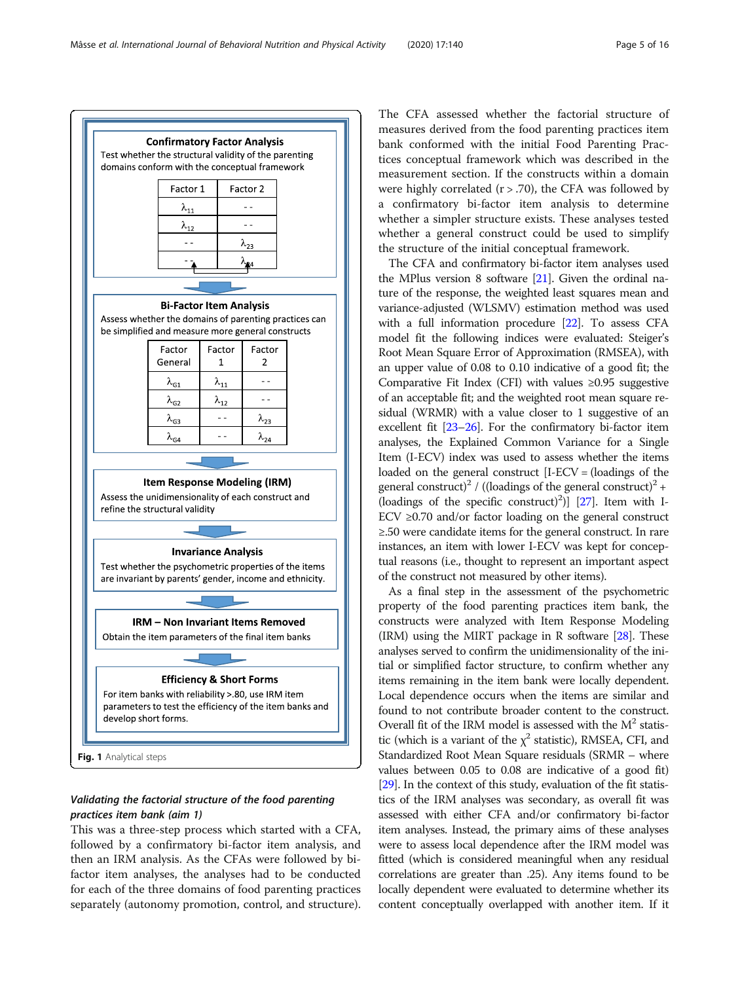<span id="page-4-0"></span>

# Validating the factorial structure of the food parenting practices item bank (aim 1)

This was a three-step process which started with a CFA, followed by a confirmatory bi-factor item analysis, and then an IRM analysis. As the CFAs were followed by bifactor item analyses, the analyses had to be conducted for each of the three domains of food parenting practices separately (autonomy promotion, control, and structure). The CFA assessed whether the factorial structure of measures derived from the food parenting practices item bank conformed with the initial Food Parenting Practices conceptual framework which was described in the measurement section. If the constructs within a domain were highly correlated  $(r > .70)$ , the CFA was followed by a confirmatory bi-factor item analysis to determine whether a simpler structure exists. These analyses tested whether a general construct could be used to simplify the structure of the initial conceptual framework.

The CFA and confirmatory bi-factor item analyses used the MPlus version 8 software [[21](#page-15-0)]. Given the ordinal nature of the response, the weighted least squares mean and variance-adjusted (WLSMV) estimation method was used with a full information procedure [\[22\]](#page-15-0). To assess CFA model fit the following indices were evaluated: Steiger's Root Mean Square Error of Approximation (RMSEA), with an upper value of 0.08 to 0.10 indicative of a good fit; the Comparative Fit Index (CFI) with values  $\geq 0.95$  suggestive of an acceptable fit; and the weighted root mean square residual (WRMR) with a value closer to 1 suggestive of an excellent fit [\[23](#page-15-0)–[26\]](#page-15-0). For the confirmatory bi-factor item analyses, the Explained Common Variance for a Single Item (I-ECV) index was used to assess whether the items loaded on the general construct [I-ECV = (loadings of the general construct)<sup>2</sup> / ((loadings of the general construct)<sup>2</sup> + (loadings of the specific construct)<sup>2</sup>)] [[27](#page-15-0)]. Item with I-ECV  $\geq$ 0.70 and/or factor loading on the general construct ≥.50 were candidate items for the general construct. In rare instances, an item with lower I-ECV was kept for conceptual reasons (i.e., thought to represent an important aspect of the construct not measured by other items).

As a final step in the assessment of the psychometric property of the food parenting practices item bank, the constructs were analyzed with Item Response Modeling (IRM) using the MIRT package in R software [[28](#page-15-0)]. These analyses served to confirm the unidimensionality of the initial or simplified factor structure, to confirm whether any items remaining in the item bank were locally dependent. Local dependence occurs when the items are similar and found to not contribute broader content to the construct. Overall fit of the IRM model is assessed with the  $M<sup>2</sup>$  statistic (which is a variant of the  $\chi^2$  statistic), RMSEA, CFI, and Standardized Root Mean Square residuals (SRMR – where values between 0.05 to 0.08 are indicative of a good fit) [[29](#page-15-0)]. In the context of this study, evaluation of the fit statistics of the IRM analyses was secondary, as overall fit was assessed with either CFA and/or confirmatory bi-factor item analyses. Instead, the primary aims of these analyses were to assess local dependence after the IRM model was fitted (which is considered meaningful when any residual correlations are greater than .25). Any items found to be locally dependent were evaluated to determine whether its content conceptually overlapped with another item. If it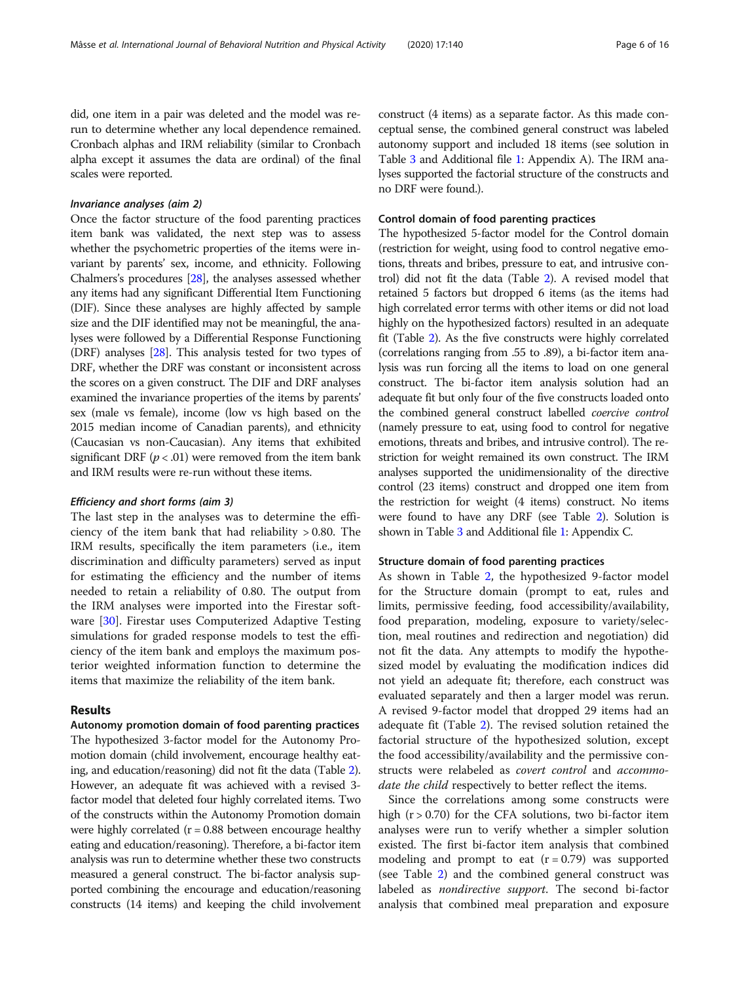did, one item in a pair was deleted and the model was rerun to determine whether any local dependence remained. Cronbach alphas and IRM reliability (similar to Cronbach alpha except it assumes the data are ordinal) of the final scales were reported.

## Invariance analyses (aim 2)

Once the factor structure of the food parenting practices item bank was validated, the next step was to assess whether the psychometric properties of the items were invariant by parents' sex, income, and ethnicity. Following Chalmers's procedures [\[28\]](#page-15-0), the analyses assessed whether any items had any significant Differential Item Functioning (DIF). Since these analyses are highly affected by sample size and the DIF identified may not be meaningful, the analyses were followed by a Differential Response Functioning (DRF) analyses [\[28\]](#page-15-0). This analysis tested for two types of DRF, whether the DRF was constant or inconsistent across the scores on a given construct. The DIF and DRF analyses examined the invariance properties of the items by parents' sex (male vs female), income (low vs high based on the 2015 median income of Canadian parents), and ethnicity (Caucasian vs non-Caucasian). Any items that exhibited significant DRF ( $p < .01$ ) were removed from the item bank and IRM results were re-run without these items.

#### Efficiency and short forms (aim 3)

The last step in the analyses was to determine the efficiency of the item bank that had reliability > 0.80. The IRM results, specifically the item parameters (i.e., item discrimination and difficulty parameters) served as input for estimating the efficiency and the number of items needed to retain a reliability of 0.80. The output from the IRM analyses were imported into the Firestar software [[30\]](#page-15-0). Firestar uses Computerized Adaptive Testing simulations for graded response models to test the efficiency of the item bank and employs the maximum posterior weighted information function to determine the items that maximize the reliability of the item bank.

# Results

Autonomy promotion domain of food parenting practices The hypothesized 3-factor model for the Autonomy Promotion domain (child involvement, encourage healthy eating, and education/reasoning) did not fit the data (Table [2](#page-6-0)). However, an adequate fit was achieved with a revised 3 factor model that deleted four highly correlated items. Two of the constructs within the Autonomy Promotion domain were highly correlated  $(r = 0.88$  between encourage healthy eating and education/reasoning). Therefore, a bi-factor item analysis was run to determine whether these two constructs measured a general construct. The bi-factor analysis supported combining the encourage and education/reasoning constructs (14 items) and keeping the child involvement construct (4 items) as a separate factor. As this made conceptual sense, the combined general construct was labeled autonomy support and included 18 items (see solution in Table [3](#page-7-0) and Additional file [1:](#page-14-0) Appendix A). The IRM analyses supported the factorial structure of the constructs and no DRF were found.).

# Control domain of food parenting practices

The hypothesized 5-factor model for the Control domain (restriction for weight, using food to control negative emotions, threats and bribes, pressure to eat, and intrusive control) did not fit the data (Table [2\)](#page-6-0). A revised model that retained 5 factors but dropped 6 items (as the items had high correlated error terms with other items or did not load highly on the hypothesized factors) resulted in an adequate fit (Table [2\)](#page-6-0). As the five constructs were highly correlated (correlations ranging from .55 to .89), a bi-factor item analysis was run forcing all the items to load on one general construct. The bi-factor item analysis solution had an adequate fit but only four of the five constructs loaded onto the combined general construct labelled coercive control (namely pressure to eat, using food to control for negative emotions, threats and bribes, and intrusive control). The restriction for weight remained its own construct. The IRM analyses supported the unidimensionality of the directive control (23 items) construct and dropped one item from the restriction for weight (4 items) construct. No items were found to have any DRF (see Table [2\)](#page-6-0). Solution is shown in Table [3](#page-7-0) and Additional file [1:](#page-14-0) Appendix C.

### Structure domain of food parenting practices

As shown in Table [2](#page-6-0), the hypothesized 9-factor model for the Structure domain (prompt to eat, rules and limits, permissive feeding, food accessibility/availability, food preparation, modeling, exposure to variety/selection, meal routines and redirection and negotiation) did not fit the data. Any attempts to modify the hypothesized model by evaluating the modification indices did not yield an adequate fit; therefore, each construct was evaluated separately and then a larger model was rerun. A revised 9-factor model that dropped 29 items had an adequate fit (Table [2\)](#page-6-0). The revised solution retained the factorial structure of the hypothesized solution, except the food accessibility/availability and the permissive constructs were relabeled as covert control and accommodate the child respectively to better reflect the items.

Since the correlations among some constructs were high  $(r > 0.70)$  for the CFA solutions, two bi-factor item analyses were run to verify whether a simpler solution existed. The first bi-factor item analysis that combined modeling and prompt to eat  $(r = 0.79)$  was supported (see Table [2](#page-6-0)) and the combined general construct was labeled as nondirective support. The second bi-factor analysis that combined meal preparation and exposure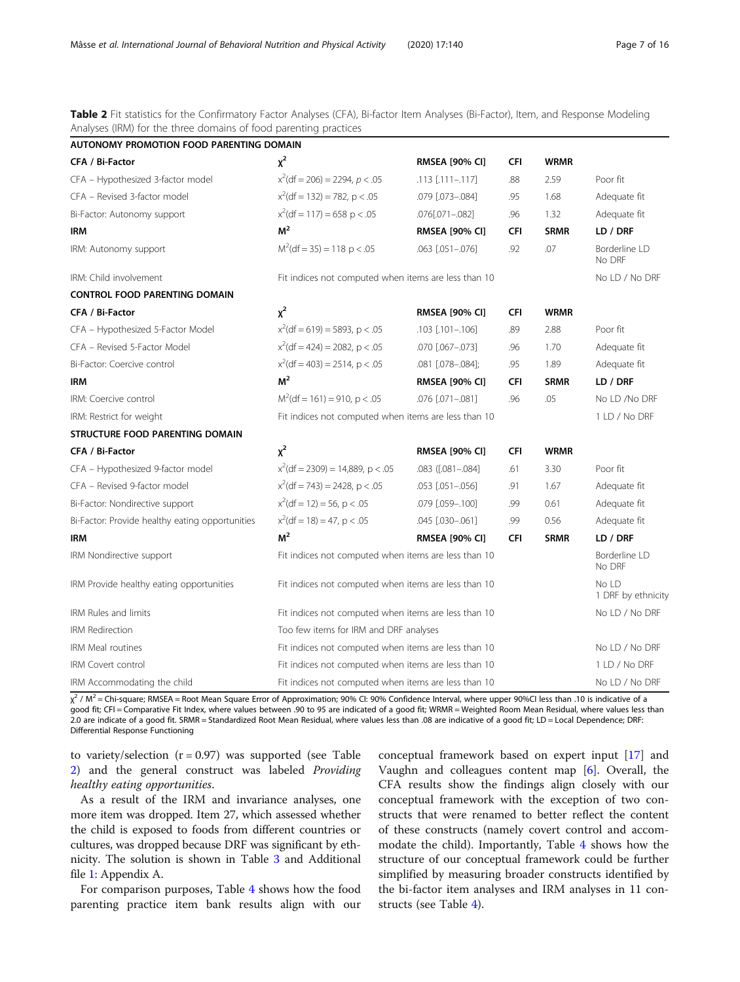<span id="page-6-0"></span>Table 2 Fit statistics for the Confirmatory Factor Analyses (CFA), Bi-factor Item Analyses (Bi-Factor), Item, and Response Modeling Analyses (IRM) for the three domains of food parenting practices

| <b>AUTONOMY PROMOTION FOOD PARENTING DOMAIN</b> |                                                      |                                                      |            |             |                             |
|-------------------------------------------------|------------------------------------------------------|------------------------------------------------------|------------|-------------|-----------------------------|
| CFA / Bi-Factor                                 | $x^2$                                                | <b>RMSEA [90% CI]</b>                                | <b>CFI</b> | <b>WRMR</b> |                             |
| CFA - Hypothesized 3-factor model               | $x^2$ (df = 206) = 2294, $p < .05$                   | $.113$ $[.111 - .117]$                               | .88        | 2.59        | Poor fit                    |
| CFA - Revised 3-factor model                    | $x^{2}(df = 132) = 782$ , p < .05                    | .079 [.073-.084]                                     | .95        | 1.68        | Adequate fit                |
| Bi-Factor: Autonomy support                     | $x^2$ (df = 117) = 658 p < .05                       | .076[.071-.082]                                      | .96        | 1.32        | Adequate fit                |
| IRM                                             | M <sup>2</sup>                                       | <b>RMSEA [90% CI]</b>                                | CFI        | <b>SRMR</b> | LD / DRF                    |
| IRM: Autonomy support                           | $M^{2}(df = 35) = 118 p < .05$                       | $.063$ $[.051 - .076]$                               | .92        | .07         | Borderline LD<br>No DRF     |
| IRM: Child involvement                          | Fit indices not computed when items are less than 10 |                                                      |            |             | No LD / No DRF              |
| <b>CONTROL FOOD PARENTING DOMAIN</b>            |                                                      |                                                      |            |             |                             |
| CFA / Bi-Factor                                 | $x^2$                                                | <b>RMSEA [90% CI]</b>                                | <b>CFI</b> | <b>WRMR</b> |                             |
| CFA - Hypothesized 5-Factor Model               | $x^{2}(df = 619) = 5893$ , p < .05                   | $.103$ $[.101 - .106]$                               | .89        | 2.88        | Poor fit                    |
| CFA - Revised 5-Factor Model                    | $x^2$ (df = 424) = 2082, p < .05                     | .070 [.067-.073]                                     | .96        | 1.70        | Adequate fit                |
| Bi-Factor: Coercive control                     | $x^2$ (df = 403) = 2514, p < .05                     | .081 [.078-.084];                                    | .95        | 1.89        | Adequate fit                |
| IRM                                             | M <sup>2</sup>                                       | <b>RMSEA [90% CI]</b>                                | <b>CFI</b> | <b>SRMR</b> | LD / DRF                    |
| IRM: Coercive control                           | $M^2(df = 161) = 910$ , p < .05                      | .076 [.071 -. 081]                                   | .96        | .05         | No LD /No DRF               |
| IRM: Restrict for weight                        |                                                      | Fit indices not computed when items are less than 10 |            |             |                             |
| STRUCTURE FOOD PARENTING DOMAIN                 |                                                      |                                                      |            |             |                             |
| CFA / Bi-Factor                                 | $x^2$                                                | <b>RMSEA [90% CI]</b>                                | <b>CFI</b> | <b>WRMR</b> |                             |
| CFA - Hypothesized 9-factor model               | $x^{2}(df = 2309) = 14,889, p < .05$                 | .083 ([.081-.084]                                    | .61        | 3.30        | Poor fit                    |
| CFA - Revised 9-factor model                    | $x^2$ (df = 743) = 2428, p < .05                     | $.053$ $[.051 - .056]$                               | .91        | 1.67        | Adequate fit                |
| Bi-Factor: Nondirective support                 | $x^{2}(df = 12) = 56$ , p < .05                      | .079 [.059-.100]                                     | .99        | 0.61        | Adequate fit                |
| Bi-Factor: Provide healthy eating opportunities | $x^2$ (df = 18) = 47, p < .05                        | .045 [.030-.061]                                     | .99        | 0.56        | Adequate fit                |
| IRM                                             | M <sup>2</sup>                                       | <b>RMSEA [90% CI]</b>                                | <b>CFI</b> | <b>SRMR</b> | LD / DRF                    |
| IRM Nondirective support                        | Fit indices not computed when items are less than 10 |                                                      |            |             | Borderline LD<br>No DRF     |
| IRM Provide healthy eating opportunities        | Fit indices not computed when items are less than 10 |                                                      |            |             | No LD<br>1 DRF by ethnicity |
| IRM Rules and limits                            | Fit indices not computed when items are less than 10 |                                                      |            |             | No LD / No DRF              |
| <b>IRM Redirection</b>                          | Too few items for IRM and DRF analyses               |                                                      |            |             |                             |
| <b>IRM Meal routines</b>                        | Fit indices not computed when items are less than 10 |                                                      |            |             | No LD / No DRF              |
| <b>IRM Covert control</b>                       | Fit indices not computed when items are less than 10 |                                                      |            |             | 1 LD / No DRF               |
| IRM Accommodating the child                     | Fit indices not computed when items are less than 10 |                                                      |            |             | No LD / No DRF              |

 $\chi^2$  / M<sup>2</sup> = Chi-square; RMSEA = Root Mean Square Error of Approximation; 90% Cl: 90% Confidence Interval, where upper 90%CI less than .10 is indicative of a good fit; CFI = Comparative Fit Index, where values between .90 to 95 are indicated of a good fit; WRMR = Weighted Room Mean Residual, where values less than 2.0 are indicate of a good fit. SRMR = Standardized Root Mean Residual, where values less than .08 are indicative of a good fit; LD = Local Dependence; DRF: Differential Response Functioning

to variety/selection  $(r = 0.97)$  was supported (see Table 2) and the general construct was labeled Providing healthy eating opportunities.

As a result of the IRM and invariance analyses, one more item was dropped. Item 27, which assessed whether the child is exposed to foods from different countries or cultures, was dropped because DRF was significant by ethnicity. The solution is shown in Table [3](#page-7-0) and Additional file [1](#page-14-0): Appendix A.

For comparison purposes, Table [4](#page-10-0) shows how the food parenting practice item bank results align with our

conceptual framework based on expert input [[17\]](#page-14-0) and Vaughn and colleagues content map [[6\]](#page-14-0). Overall, the CFA results show the findings align closely with our conceptual framework with the exception of two constructs that were renamed to better reflect the content of these constructs (namely covert control and accommodate the child). Importantly, Table [4](#page-10-0) shows how the structure of our conceptual framework could be further simplified by measuring broader constructs identified by the bi-factor item analyses and IRM analyses in 11 constructs (see Table [4](#page-10-0)).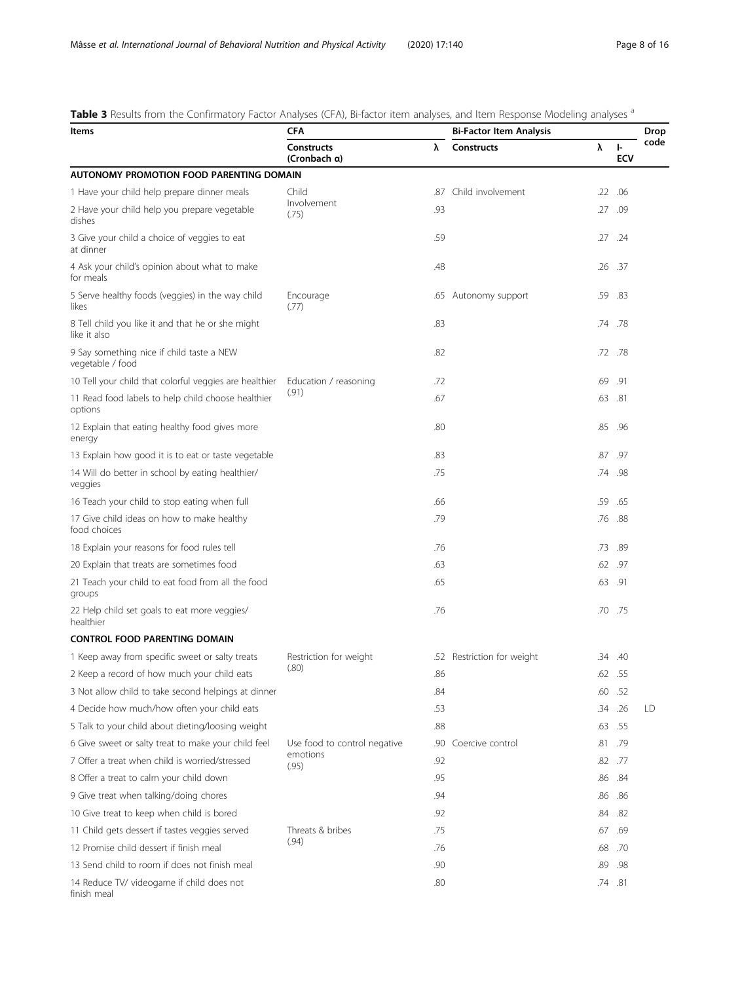14 Reduce TV/ videogame if child does not

finish meal

| Items                                                             | <b>CFA</b>                        |     | <b>Bi-Factor Item Analysis</b> |     |                  | Drop |
|-------------------------------------------------------------------|-----------------------------------|-----|--------------------------------|-----|------------------|------|
|                                                                   | <b>Constructs</b><br>(Cronbach α) | λ   | Constructs                     | λ   | ŀ.<br><b>ECV</b> | code |
| AUTONOMY PROMOTION FOOD PARENTING DOMAIN                          |                                   |     |                                |     |                  |      |
| 1 Have your child help prepare dinner meals                       | Child                             | .87 | Child involvement              | .22 | .06              |      |
| 2 Have your child help you prepare vegetable<br>dishes            | Involvement<br>(.75)              | .93 |                                |     | .27 .09          |      |
| 3 Give your child a choice of veggies to eat<br>at dinner         |                                   | .59 |                                |     | .27 .24          |      |
| 4 Ask your child's opinion about what to make<br>for meals        |                                   | .48 |                                | .26 | .37              |      |
| 5 Serve healthy foods (veggies) in the way child<br>likes         | Encourage<br>(77)                 |     | .65 Autonomy support           | .59 | .83              |      |
| 8 Tell child you like it and that he or she might<br>like it also |                                   | .83 |                                |     | .74 .78          |      |
| 9 Say something nice if child taste a NEW<br>vegetable / food     |                                   | .82 |                                |     | .72. .78         |      |
| 10 Tell your child that colorful veggies are healthier            | Education / reasoning             | .72 |                                |     | .69 .91          |      |
| 11 Read food labels to help child choose healthier<br>options     | (.91)                             | .67 |                                |     | .63 .81          |      |
| 12 Explain that eating healthy food gives more<br>energy          |                                   | .80 |                                | .85 | .96              |      |
| 13 Explain how good it is to eat or taste vegetable               |                                   | .83 |                                |     | .87.97           |      |
| 14 Will do better in school by eating healthier/<br>veggies       |                                   | .75 |                                |     | .74 .98          |      |
| 16 Teach your child to stop eating when full                      |                                   | .66 |                                | .59 | .65              |      |
| 17 Give child ideas on how to make healthy<br>food choices        |                                   | .79 |                                | .76 | .88              |      |
| 18 Explain your reasons for food rules tell                       |                                   | .76 |                                | .73 | .89              |      |
| 20 Explain that treats are sometimes food                         |                                   | .63 |                                |     | .62 .97          |      |
| 21 Teach your child to eat food from all the food<br>groups       |                                   | .65 |                                |     | .63 .91          |      |
| 22 Help child set goals to eat more veggies/<br>healthier         |                                   | .76 |                                |     | .70 .75          |      |
| <b>CONTROL FOOD PARENTING DOMAIN</b>                              |                                   |     |                                |     |                  |      |
| 1 Keep away from specific sweet or salty treats                   | Restriction for weight            |     | .52 Restriction for weight     |     | .34 .40          |      |
| 2 Keep a record of how much your child eats                       | (.80)                             | .86 |                                |     | .62 .55          |      |
| 3 Not allow child to take second helpings at dinner               |                                   | .84 |                                | .60 | .52              |      |
| 4 Decide how much/how often your child eats                       |                                   | .53 |                                | .34 | .26              | LD   |
| 5 Talk to your child about dieting/loosing weight                 |                                   | .88 |                                | .63 | .55              |      |
| 6 Give sweet or salty treat to make your child feel               | Use food to control negative      | .90 | Coercive control               | .81 | .79              |      |
| 7 Offer a treat when child is worried/stressed                    | emotions<br>(.95)                 | .92 |                                |     | .82 .77          |      |
| 8 Offer a treat to calm your child down                           |                                   | .95 |                                | .86 | .84              |      |
| 9 Give treat when talking/doing chores                            |                                   | .94 |                                | .86 | .86              |      |
| 10 Give treat to keep when child is bored                         |                                   | .92 |                                | .84 | .82              |      |
| 11 Child gets dessert if tastes veggies served                    | Threats & bribes                  | .75 |                                |     | .67 .69          |      |
| 12 Promise child dessert if finish meal                           | (.94)                             | .76 |                                | .68 | .70              |      |
| 13 Send child to room if does not finish meal                     |                                   | .90 |                                |     | .89.98           |      |

.80 .74 .81

<span id="page-7-0"></span>Table 3 Results from the Confirmatory Factor Analyses (CFA), Bi-factor item analyses, and Item Response Modeling analyses <sup>a</sup>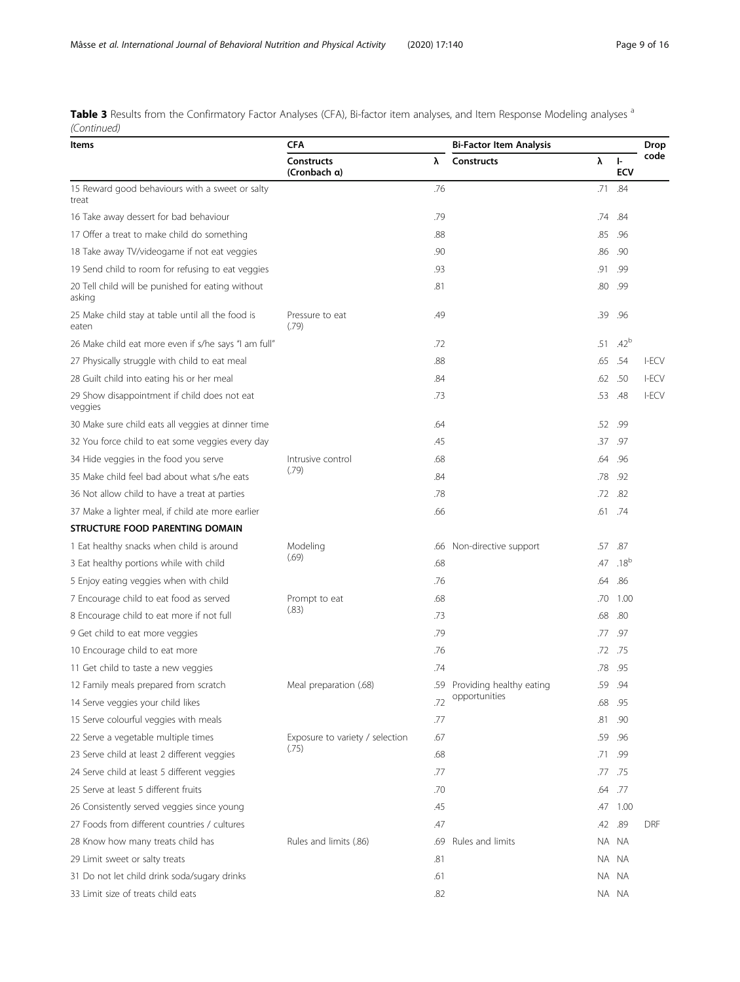Table 3 Results from the Confirmatory Factor Analyses (CFA), Bi-factor item analyses, and Item Response Modeling analyses <sup>a</sup> (Continued)

| Items                                                       | <b>CFA</b>                        |     | <b>Bi-Factor Item Analysis</b> |     |                  | Drop  |
|-------------------------------------------------------------|-----------------------------------|-----|--------------------------------|-----|------------------|-------|
|                                                             | <b>Constructs</b><br>(Cronbach α) | λ   | Constructs                     | λ   | I-<br><b>ECV</b> | code  |
| 15 Reward good behaviours with a sweet or salty<br>treat    |                                   | .76 |                                | .71 | .84              |       |
| 16 Take away dessert for bad behaviour                      |                                   | .79 |                                | .74 | .84              |       |
| 17 Offer a treat to make child do something                 |                                   | .88 |                                | .85 | .96              |       |
| 18 Take away TV/videogame if not eat veggies                |                                   | .90 |                                | .86 | .90              |       |
| 19 Send child to room for refusing to eat veggies           |                                   | .93 |                                | .91 | .99              |       |
| 20 Tell child will be punished for eating without<br>asking |                                   | .81 |                                | .80 | .99              |       |
| 25 Make child stay at table until all the food is<br>eaten  | Pressure to eat<br>(.79)          | .49 |                                | .39 | .96              |       |
| 26 Make child eat more even if s/he says "I am full"        |                                   | .72 |                                | .51 | $.42^{b}$        |       |
| 27 Physically struggle with child to eat meal               |                                   | .88 |                                | .65 | .54              | I-ECV |
| 28 Guilt child into eating his or her meal                  |                                   | .84 |                                | .62 | .50              | I-ECV |
| 29 Show disappointment if child does not eat<br>veggies     |                                   | .73 |                                | .53 | .48              | I-ECV |
| 30 Make sure child eats all veggies at dinner time          |                                   | .64 |                                | .52 | .99              |       |
| 32 You force child to eat some veggies every day            |                                   | .45 |                                | .37 | .97              |       |
| 34 Hide veggies in the food you serve                       | Intrusive control                 | .68 |                                | .64 | .96              |       |
| 35 Make child feel bad about what s/he eats                 | (.79)                             |     |                                | .78 | .92              |       |
| 36 Not allow child to have a treat at parties               |                                   | .78 |                                | .72 | .82              |       |
| 37 Make a lighter meal, if child ate more earlier           |                                   | .66 |                                | .61 | .74              |       |
| STRUCTURE FOOD PARENTING DOMAIN                             |                                   |     |                                |     |                  |       |
| 1 Eat healthy snacks when child is around                   | Modeling                          | .66 | Non-directive support          | .57 | .87              |       |
| 3 Eat healthy portions while with child                     | (.69)                             | .68 |                                | .47 | .18 <sup>b</sup> |       |
| 5 Enjoy eating veggies when with child                      |                                   | .76 |                                | .64 | .86              |       |
| 7 Encourage child to eat food as served                     | Prompt to eat                     | .68 |                                | .70 | 1.00             |       |
| 8 Encourage child to eat more if not full                   | (.83)                             | .73 |                                | .68 | .80              |       |
| 9 Get child to eat more veggies                             |                                   | .79 |                                | .77 | .97              |       |
| 10 Encourage child to eat more                              |                                   | .76 |                                | .72 | .75              |       |
| 11 Get child to taste a new veggies                         |                                   | .74 |                                | .78 | .95              |       |
| 12 Family meals prepared from scratch                       | Meal preparation (.68)            | .59 | Providing healthy eating       | .59 | .94              |       |
| 14 Serve veggies your child likes                           |                                   | .72 | opportunities                  | .68 | .95              |       |
| 15 Serve colourful veggies with meals                       |                                   | .77 |                                | .81 | .90              |       |
| 22 Serve a vegetable multiple times                         | Exposure to variety / selection   | .67 |                                | .59 | .96              |       |
| 23 Serve child at least 2 different veggies                 | (.75)                             | .68 |                                | .71 | .99              |       |
| 24 Serve child at least 5 different veggies                 |                                   | .77 |                                |     | .77 .75          |       |
| 25 Serve at least 5 different fruits                        |                                   | .70 |                                | .64 | .77              |       |
| 26 Consistently served veggies since young                  |                                   | .45 |                                | .47 | 1.00             |       |
| 27 Foods from different countries / cultures                |                                   | .47 |                                | .42 | .89              | DRF   |
| 28 Know how many treats child has                           | Rules and limits (.86)            | .69 | Rules and limits               |     | NA NA            |       |
| 29 Limit sweet or salty treats                              |                                   | .81 |                                |     | na na            |       |
| 31 Do not let child drink soda/sugary drinks                |                                   | .61 |                                |     | na na            |       |
| 33 Limit size of treats child eats                          |                                   | .82 |                                |     | na na            |       |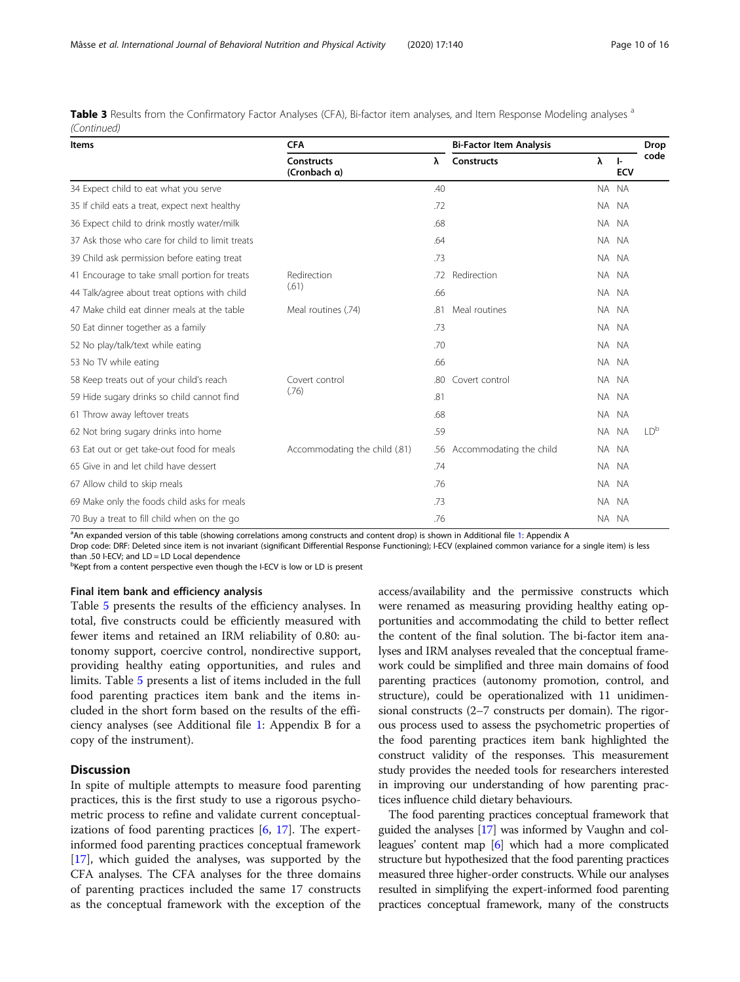|             | Table 3 Results from the Confirmatory Factor Analyses (CFA), Bi-factor item analyses, and Item Response Modeling analyses <sup>a</sup> |  |
|-------------|----------------------------------------------------------------------------------------------------------------------------------------|--|
| (Continued) |                                                                                                                                        |  |

| <b>Items</b>                                                 | <b>CFA</b><br><b>Constructs</b><br>λ<br>(Cronbach a) |     | <b>Bi-Factor Item Analysis</b> |      |                  | Drop            |
|--------------------------------------------------------------|------------------------------------------------------|-----|--------------------------------|------|------------------|-----------------|
|                                                              |                                                      |     | Constructs                     | λ    | ŀ.<br><b>ECV</b> | code            |
| 34 Expect child to eat what you serve                        |                                                      | .40 |                                |      | NA NA            |                 |
| 35 If child eats a treat, expect next healthy                |                                                      | .72 |                                | NA . | <b>NA</b>        |                 |
| 36 Expect child to drink mostly water/milk                   |                                                      | .68 |                                |      | NA NA            |                 |
| 37 Ask those who care for child to limit treats              |                                                      | .64 |                                |      | NA NA            |                 |
| 39 Child ask permission before eating treat                  |                                                      | .73 |                                |      | NA NA            |                 |
| 41 Encourage to take small portion for treats<br>Redirection |                                                      | .72 | Redirection                    |      | NA NA            |                 |
| 44 Talk/agree about treat options with child                 | (.61)                                                | .66 |                                |      | NA NA            |                 |
| 47 Make child eat dinner meals at the table                  | Meal routines (.74)                                  | .81 | Meal routines                  |      | NA NA            |                 |
| 50 Eat dinner together as a family                           |                                                      | .73 |                                |      | NA NA            |                 |
| 52 No play/talk/text while eating                            |                                                      | .70 |                                |      | NA NA            |                 |
| 53 No TV while eating                                        |                                                      | .66 |                                |      | NA NA            |                 |
| 58 Keep treats out of your child's reach                     | Covert control                                       | .80 | Covert control                 |      | NA NA            |                 |
| 59 Hide sugary drinks so child cannot find                   | (76)                                                 | .81 |                                |      | NA NA            |                 |
| 61 Throw away leftover treats                                |                                                      | .68 |                                |      | NA NA            |                 |
| 62 Not bring sugary drinks into home                         |                                                      | .59 |                                |      | NA NA            | LD <sup>b</sup> |
| 63 Eat out or get take-out food for meals                    | Accommodating the child (.81)                        | .56 | Accommodating the child        |      | NA NA            |                 |
| 65 Give in and let child have dessert                        |                                                      | .74 |                                |      | NA NA            |                 |
| 67 Allow child to skip meals                                 |                                                      | .76 |                                |      | NA NA            |                 |
| 69 Make only the foods child asks for meals                  |                                                      | .73 |                                |      | NA NA            |                 |
| 70 Buy a treat to fill child when on the go                  |                                                      | .76 |                                |      | NA NA            |                 |

<sup>a</sup>An expanded version of this table (showing correlations among constructs and content drop) is shown in Additional file [1](#page-14-0): Appendix A

Drop code: DRF: Deleted since item is not invariant (significant Differential Response Functioning); I-ECV (explained common variance for a single item) is less than .50 I-ECV; and LD = LD Local dependence

<sup>b</sup>Kept from a content perspective even though the I-ECV is low or LD is present

## Final item bank and efficiency analysis

Table [5](#page-11-0) presents the results of the efficiency analyses. In total, five constructs could be efficiently measured with fewer items and retained an IRM reliability of 0.80: autonomy support, coercive control, nondirective support, providing healthy eating opportunities, and rules and limits. Table [5](#page-11-0) presents a list of items included in the full food parenting practices item bank and the items included in the short form based on the results of the efficiency analyses (see Additional file [1](#page-14-0): Appendix B for a copy of the instrument).

# **Discussion**

In spite of multiple attempts to measure food parenting practices, this is the first study to use a rigorous psychometric process to refine and validate current conceptualizations of food parenting practices [\[6](#page-14-0), [17](#page-14-0)]. The expertinformed food parenting practices conceptual framework [[17\]](#page-14-0), which guided the analyses, was supported by the CFA analyses. The CFA analyses for the three domains of parenting practices included the same 17 constructs as the conceptual framework with the exception of the access/availability and the permissive constructs which were renamed as measuring providing healthy eating opportunities and accommodating the child to better reflect the content of the final solution. The bi-factor item analyses and IRM analyses revealed that the conceptual framework could be simplified and three main domains of food parenting practices (autonomy promotion, control, and structure), could be operationalized with 11 unidimensional constructs (2–7 constructs per domain). The rigorous process used to assess the psychometric properties of the food parenting practices item bank highlighted the construct validity of the responses. This measurement study provides the needed tools for researchers interested in improving our understanding of how parenting practices influence child dietary behaviours.

The food parenting practices conceptual framework that guided the analyses [\[17\]](#page-14-0) was informed by Vaughn and colleagues' content map [\[6\]](#page-14-0) which had a more complicated structure but hypothesized that the food parenting practices measured three higher-order constructs. While our analyses resulted in simplifying the expert-informed food parenting practices conceptual framework, many of the constructs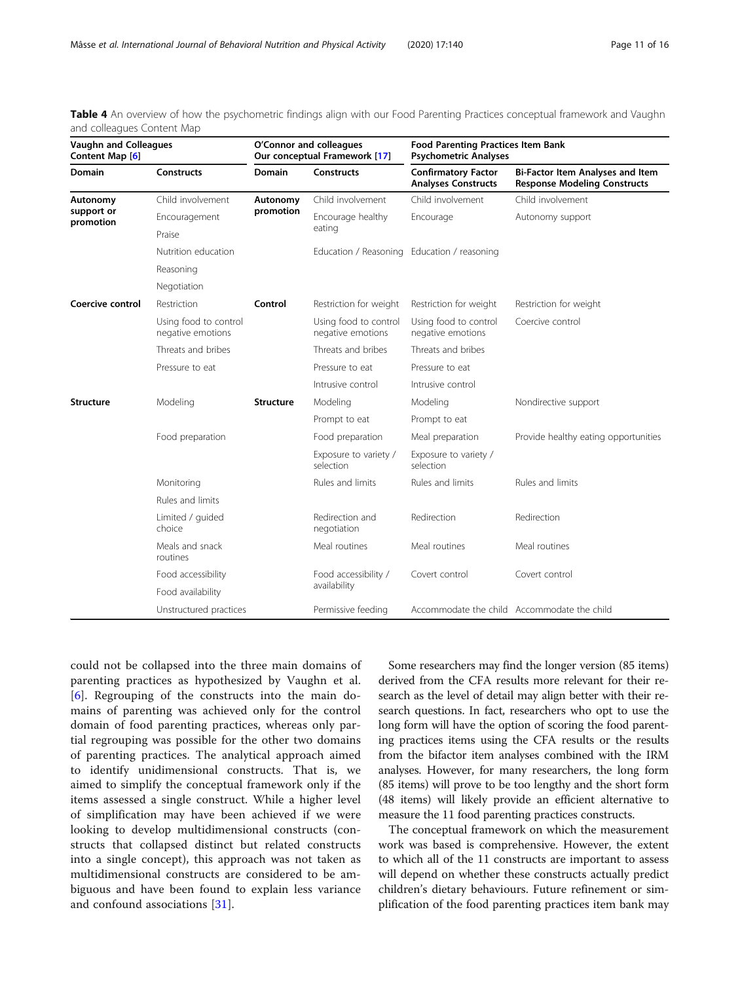<span id="page-10-0"></span>Table 4 An overview of how the psychometric findings align with our Food Parenting Practices conceptual framework and Vaughn and colleagues Content Map

| <b>Vaughn and Colleagues</b><br>Content Map [6] |                                            | O'Connor and colleagues<br>Our conceptual Framework [17] |                                             | <b>Food Parenting Practices Item Bank</b><br><b>Psychometric Analyses</b> |                                                                         |  |
|-------------------------------------------------|--------------------------------------------|----------------------------------------------------------|---------------------------------------------|---------------------------------------------------------------------------|-------------------------------------------------------------------------|--|
| Domain                                          | Constructs                                 | Domain                                                   | Constructs                                  | <b>Confirmatory Factor</b><br><b>Analyses Constructs</b>                  | Bi-Factor Item Analyses and Item<br><b>Response Modeling Constructs</b> |  |
| Autonomy                                        | Child involvement                          | Autonomy                                                 | Child involvement                           | Child involvement                                                         | Child involvement                                                       |  |
| support or<br>promotion                         | Encouragement                              | promotion                                                | Encourage healthy                           | Encourage                                                                 | Autonomy support                                                        |  |
|                                                 | Praise                                     |                                                          | eating                                      |                                                                           |                                                                         |  |
|                                                 | Nutrition education                        |                                                          | Education / Reasoning Education / reasoning |                                                                           |                                                                         |  |
|                                                 | Reasoning                                  |                                                          |                                             |                                                                           |                                                                         |  |
|                                                 | Negotiation                                |                                                          |                                             |                                                                           |                                                                         |  |
| Coercive control                                | Restriction                                | Control                                                  | Restriction for weight                      | Restriction for weight                                                    | Restriction for weight                                                  |  |
|                                                 | Using food to control<br>negative emotions |                                                          | Using food to control<br>negative emotions  | Using food to control<br>negative emotions                                | Coercive control                                                        |  |
|                                                 | Threats and bribes                         |                                                          | Threats and bribes                          | Threats and bribes                                                        |                                                                         |  |
|                                                 | Pressure to eat                            |                                                          | Pressure to eat                             | Pressure to eat                                                           |                                                                         |  |
|                                                 |                                            |                                                          | Intrusive control                           | Intrusive control                                                         |                                                                         |  |
| <b>Structure</b>                                | Modeling                                   | <b>Structure</b>                                         | Modeling                                    | Modeling                                                                  | Nondirective support                                                    |  |
|                                                 |                                            |                                                          | Prompt to eat                               | Prompt to eat                                                             |                                                                         |  |
|                                                 | Food preparation                           |                                                          | Food preparation                            | Meal preparation                                                          | Provide healthy eating opportunities                                    |  |
|                                                 |                                            |                                                          | Exposure to variety /<br>selection          | Exposure to variety /<br>selection                                        |                                                                         |  |
|                                                 | Monitoring                                 |                                                          | Rules and limits                            | Rules and limits                                                          | Rules and limits                                                        |  |
|                                                 | Rules and limits                           |                                                          |                                             |                                                                           |                                                                         |  |
|                                                 | Limited / guided<br>choice                 |                                                          | Redirection and<br>negotiation              | Redirection                                                               | Redirection                                                             |  |
|                                                 | Meals and snack<br>routines                |                                                          | Meal routines                               | Meal routines                                                             | Meal routines                                                           |  |
|                                                 | Food accessibility                         |                                                          | Food accessibility /                        | Covert control                                                            | Covert control                                                          |  |
|                                                 | Food availability                          |                                                          | availability                                |                                                                           |                                                                         |  |
|                                                 | Unstructured practices                     |                                                          | Permissive feeding                          |                                                                           | Accommodate the child Accommodate the child                             |  |

could not be collapsed into the three main domains of parenting practices as hypothesized by Vaughn et al. [[6\]](#page-14-0). Regrouping of the constructs into the main domains of parenting was achieved only for the control domain of food parenting practices, whereas only partial regrouping was possible for the other two domains of parenting practices. The analytical approach aimed to identify unidimensional constructs. That is, we aimed to simplify the conceptual framework only if the items assessed a single construct. While a higher level of simplification may have been achieved if we were looking to develop multidimensional constructs (constructs that collapsed distinct but related constructs into a single concept), this approach was not taken as multidimensional constructs are considered to be ambiguous and have been found to explain less variance and confound associations [\[31](#page-15-0)].

Some researchers may find the longer version (85 items) derived from the CFA results more relevant for their research as the level of detail may align better with their research questions. In fact, researchers who opt to use the long form will have the option of scoring the food parenting practices items using the CFA results or the results from the bifactor item analyses combined with the IRM analyses. However, for many researchers, the long form (85 items) will prove to be too lengthy and the short form (48 items) will likely provide an efficient alternative to measure the 11 food parenting practices constructs.

The conceptual framework on which the measurement work was based is comprehensive. However, the extent to which all of the 11 constructs are important to assess will depend on whether these constructs actually predict children's dietary behaviours. Future refinement or simplification of the food parenting practices item bank may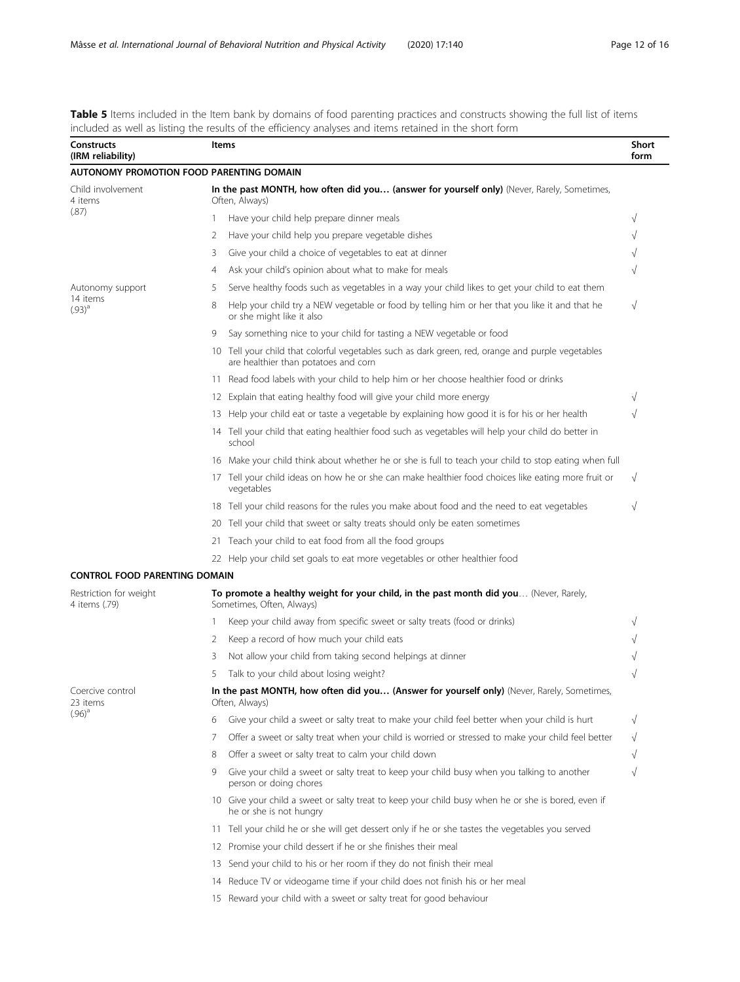| Constructs<br>(IRM reliability)          | Items |                                                                                                                                           | Short<br>form |
|------------------------------------------|-------|-------------------------------------------------------------------------------------------------------------------------------------------|---------------|
| AUTONOMY PROMOTION FOOD PARENTING DOMAIN |       |                                                                                                                                           |               |
| Child involvement<br>4 items             |       | In the past MONTH, how often did you (answer for yourself only) (Never, Rarely, Sometimes,<br>Often, Always)                              |               |
| (.87)                                    |       | Have your child help prepare dinner meals                                                                                                 |               |
|                                          | 2     | Have your child help you prepare vegetable dishes                                                                                         |               |
|                                          | 3     | Give your child a choice of vegetables to eat at dinner                                                                                   |               |
|                                          | 4     | Ask your child's opinion about what to make for meals                                                                                     |               |
| Autonomy support                         | 5     | Serve healthy foods such as vegetables in a way your child likes to get your child to eat them                                            |               |
| 14 items<br>$(.93)^{a}$                  | 8     | Help your child try a NEW vegetable or food by telling him or her that you like it and that he<br>or she might like it also               | V             |
|                                          | 9     | Say something nice to your child for tasting a NEW vegetable or food                                                                      |               |
|                                          |       | 10 Tell your child that colorful vegetables such as dark green, red, orange and purple vegetables<br>are healthier than potatoes and corn |               |
|                                          |       | 11 Read food labels with your child to help him or her choose healthier food or drinks                                                    |               |
|                                          | 12    | Explain that eating healthy food will give your child more energy                                                                         |               |
|                                          |       | 13 Help your child eat or taste a vegetable by explaining how good it is for his or her health                                            |               |
|                                          |       | 14 Tell your child that eating healthier food such as vegetables will help your child do better in<br>school                              |               |
|                                          |       | 16 Make your child think about whether he or she is full to teach your child to stop eating when full                                     |               |
|                                          |       | 17 Tell your child ideas on how he or she can make healthier food choices like eating more fruit or<br>vegetables                         | V             |
|                                          |       | 18 Tell your child reasons for the rules you make about food and the need to eat vegetables                                               |               |
|                                          | 20    | Tell your child that sweet or salty treats should only be eaten sometimes                                                                 |               |
|                                          | 21    | Teach your child to eat food from all the food groups                                                                                     |               |
|                                          | 22    | Help your child set goals to eat more vegetables or other healthier food                                                                  |               |
| CONTROL FOOD PARENTING DOMAIN            |       |                                                                                                                                           |               |
| Restriction for weight<br>4 items (.79)  |       | To promote a healthy weight for your child, in the past month did you (Never, Rarely,<br>Sometimes, Often, Always)                        |               |
|                                          | 1     | Keep your child away from specific sweet or salty treats (food or drinks)                                                                 |               |
|                                          | 2     | Keep a record of how much your child eats                                                                                                 |               |
|                                          | 3     | Not allow your child from taking second helpings at dinner                                                                                |               |
|                                          | 5     | Talk to your child about losing weight?                                                                                                   |               |
| Coercive control<br>23 items             |       | In the past MONTH, how often did you (Answer for yourself only) (Never, Rarely, Sometimes,<br>Often, Always)                              |               |
| $(.96)^{d}$                              | 6     | Give your child a sweet or salty treat to make your child feel better when your child is hurt                                             | $\sqrt{}$     |
|                                          | 7     | Offer a sweet or salty treat when your child is worried or stressed to make your child feel better                                        | $\sqrt{}$     |
|                                          | 8     | Offer a sweet or salty treat to calm your child down                                                                                      | V             |
|                                          | 9     | Give your child a sweet or salty treat to keep your child busy when you talking to another<br>person or doing chores                      | $\sqrt{}$     |
|                                          |       | 10 Give your child a sweet or salty treat to keep your child busy when he or she is bored, even if<br>he or she is not hungry             |               |
|                                          |       | 11 Tell your child he or she will get dessert only if he or she tastes the vegetables you served                                          |               |
|                                          | 12    | Promise your child dessert if he or she finishes their meal                                                                               |               |
|                                          | 13    | Send your child to his or her room if they do not finish their meal                                                                       |               |
|                                          |       | 14 Reduce TV or videogame time if your child does not finish his or her meal                                                              |               |

<span id="page-11-0"></span>Table 5 Items included in the Item bank by domains of food parenting practices and constructs showing the full list of items included as well as listing the results of the efficiency analyses and items retained in the short form

15 Reward your child with a sweet or salty treat for good behaviour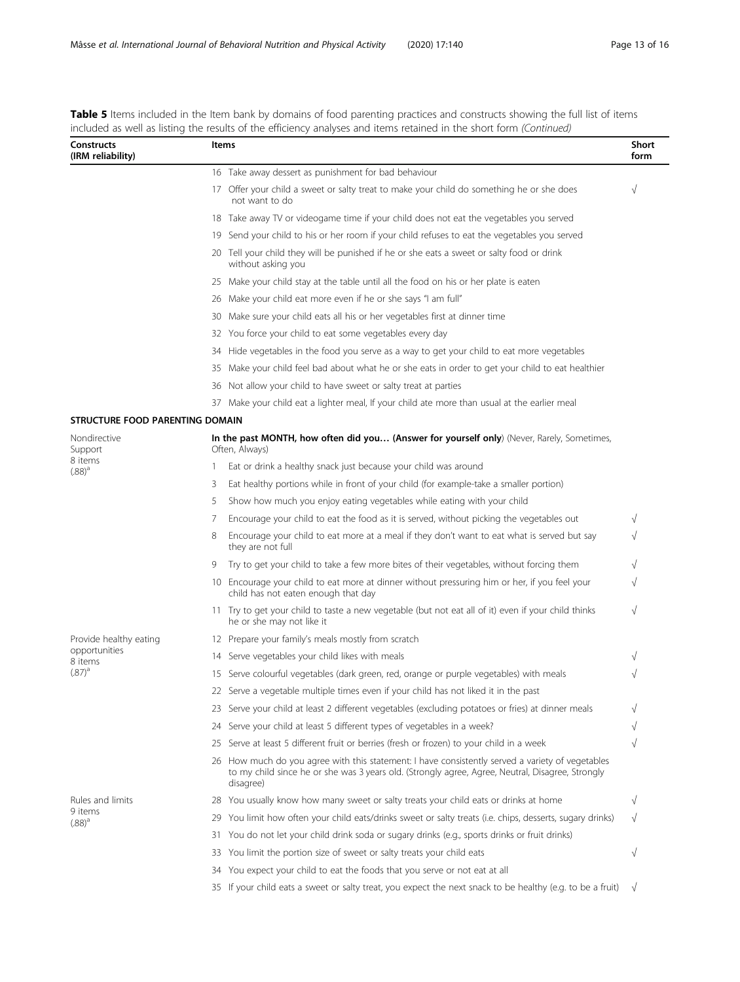| Constructs<br>(IRM reliability) | Items |                                                                                                                                                                                                                   | <b>Short</b><br>form |
|---------------------------------|-------|-------------------------------------------------------------------------------------------------------------------------------------------------------------------------------------------------------------------|----------------------|
|                                 |       | 16 Take away dessert as punishment for bad behaviour                                                                                                                                                              |                      |
|                                 |       | 17 Offer your child a sweet or salty treat to make your child do something he or she does<br>not want to do                                                                                                       | V                    |
|                                 |       | 18 Take away TV or videogame time if your child does not eat the vegetables you served                                                                                                                            |                      |
|                                 |       | 19 Send your child to his or her room if your child refuses to eat the vegetables you served                                                                                                                      |                      |
|                                 |       | 20 Tell your child they will be punished if he or she eats a sweet or salty food or drink<br>without asking you                                                                                                   |                      |
|                                 |       | 25 Make your child stay at the table until all the food on his or her plate is eaten                                                                                                                              |                      |
|                                 |       | 26 Make your child eat more even if he or she says "I am full"                                                                                                                                                    |                      |
|                                 | 30    | Make sure your child eats all his or her vegetables first at dinner time                                                                                                                                          |                      |
|                                 | 32    | You force your child to eat some vegetables every day                                                                                                                                                             |                      |
|                                 | 34    | Hide vegetables in the food you serve as a way to get your child to eat more vegetables                                                                                                                           |                      |
|                                 | 35    | Make your child feel bad about what he or she eats in order to get your child to eat healthier                                                                                                                    |                      |
|                                 | 36    | Not allow your child to have sweet or salty treat at parties                                                                                                                                                      |                      |
|                                 |       | 37 Make your child eat a lighter meal, If your child ate more than usual at the earlier meal                                                                                                                      |                      |
| STRUCTURE FOOD PARENTING DOMAIN |       |                                                                                                                                                                                                                   |                      |
| Nondirective<br>Support         |       | In the past MONTH, how often did you (Answer for yourself only) (Never, Rarely, Sometimes,<br>Often, Always)                                                                                                      |                      |
| 8 items<br>$(.88)^{a}$          | 1     | Eat or drink a healthy snack just because your child was around                                                                                                                                                   |                      |
|                                 | 3     | Eat healthy portions while in front of your child (for example-take a smaller portion)                                                                                                                            |                      |
|                                 | 5     | Show how much you enjoy eating vegetables while eating with your child                                                                                                                                            |                      |
|                                 | 7     | Encourage your child to eat the food as it is served, without picking the vegetables out                                                                                                                          | $\sqrt{}$            |
|                                 | 8     | Encourage your child to eat more at a meal if they don't want to eat what is served but say<br>they are not full                                                                                                  |                      |
|                                 | 9     | Try to get your child to take a few more bites of their vegetables, without forcing them                                                                                                                          | V                    |
|                                 |       | 10 Encourage your child to eat more at dinner without pressuring him or her, if you feel your<br>child has not eaten enough that day                                                                              |                      |
|                                 |       | 11 Try to get your child to taste a new vegetable (but not eat all of it) even if your child thinks<br>he or she may not like it                                                                                  | $\sqrt{}$            |
| Provide healthy eating          |       | 12 Prepare your family's meals mostly from scratch                                                                                                                                                                |                      |
| opportunities<br>8 items        |       | 14 Serve vegetables your child likes with meals                                                                                                                                                                   | ν                    |
| $(.87)^d$                       |       | 15 Serve colourful vegetables (dark green, red, orange or purple vegetables) with meals                                                                                                                           | V                    |
|                                 |       | Serve a vegetable multiple times even if your child has not liked it in the past                                                                                                                                  |                      |
|                                 |       | 23 Serve your child at least 2 different vegetables (excluding potatoes or fries) at dinner meals                                                                                                                 |                      |
|                                 | 24    | Serve your child at least 5 different types of vegetables in a week?                                                                                                                                              |                      |
|                                 | 25    | Serve at least 5 different fruit or berries (fresh or frozen) to your child in a week                                                                                                                             | V                    |
|                                 |       | 26 How much do you agree with this statement: I have consistently served a variety of vegetables<br>to my child since he or she was 3 years old. (Strongly agree, Agree, Neutral, Disagree, Strongly<br>disagree) |                      |
| Rules and limits                | 28    | You usually know how many sweet or salty treats your child eats or drinks at home                                                                                                                                 | V                    |
| 9 items<br>$(.88)^{a}$          | 29    | You limit how often your child eats/drinks sweet or salty treats (i.e. chips, desserts, sugary drinks)                                                                                                            | $\sqrt{}$            |
|                                 |       | 31 You do not let your child drink soda or sugary drinks (e.g., sports drinks or fruit drinks)                                                                                                                    |                      |
|                                 | 33    | You limit the portion size of sweet or salty treats your child eats                                                                                                                                               | V                    |
|                                 | 34    | You expect your child to eat the foods that you serve or not eat at all                                                                                                                                           |                      |
|                                 |       | 35 If your child eats a sweet or salty treat, you expect the next snack to be healthy (e.g. to be a fruit)                                                                                                        | $\sqrt{}$            |

| Table 5 Items included in the Item bank by domains of food parenting practices and constructs showing the full list of items |  |
|------------------------------------------------------------------------------------------------------------------------------|--|
| included as well as listing the results of the efficiency analyses and items retained in the short form (Continued)          |  |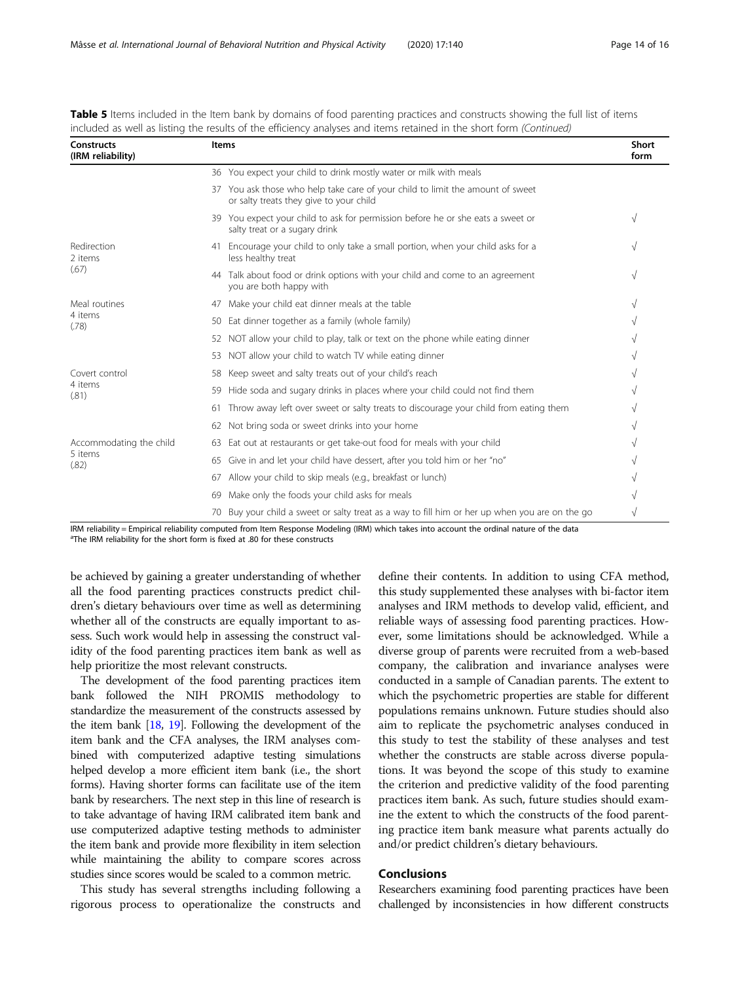| Constructs<br>(IRM reliability)   |    | <b>Items</b>                                                                                                              |   |  |  |  |
|-----------------------------------|----|---------------------------------------------------------------------------------------------------------------------------|---|--|--|--|
|                                   |    | 36 You expect your child to drink mostly water or milk with meals                                                         |   |  |  |  |
|                                   |    | 37 You ask those who help take care of your child to limit the amount of sweet<br>or salty treats they give to your child |   |  |  |  |
|                                   |    | 39 You expect your child to ask for permission before he or she eats a sweet or<br>salty treat or a sugary drink          | V |  |  |  |
| Redirection<br>2 items<br>(.67)   | 41 | Encourage your child to only take a small portion, when your child asks for a<br>less healthy treat                       |   |  |  |  |
|                                   | 44 | Talk about food or drink options with your child and come to an agreement<br>you are both happy with                      |   |  |  |  |
| Meal routines<br>4 items<br>(.78) | 47 | Make your child eat dinner meals at the table                                                                             |   |  |  |  |
|                                   | 50 | Eat dinner together as a family (whole family)                                                                            |   |  |  |  |
|                                   | 52 | NOT allow your child to play, talk or text on the phone while eating dinner                                               |   |  |  |  |
|                                   | 53 | NOT allow your child to watch TV while eating dinner                                                                      |   |  |  |  |
| Covert control                    | 58 | Keep sweet and salty treats out of your child's reach                                                                     |   |  |  |  |
| 4 items<br>(.81)                  | 59 | Hide soda and sugary drinks in places where your child could not find them                                                |   |  |  |  |
|                                   | 61 | Throw away left over sweet or salty treats to discourage your child from eating them                                      |   |  |  |  |
|                                   | 62 | Not bring soda or sweet drinks into your home                                                                             |   |  |  |  |
| Accommodating the child           | 63 | Eat out at restaurants or get take-out food for meals with your child                                                     |   |  |  |  |
| 5 items<br>(.82)                  | 65 | Give in and let your child have dessert, after you told him or her "no"                                                   |   |  |  |  |
|                                   | 67 | Allow your child to skip meals (e.g., breakfast or lunch)                                                                 |   |  |  |  |
|                                   | 69 | Make only the foods your child asks for meals                                                                             |   |  |  |  |
|                                   | 70 | Buy your child a sweet or salty treat as a way to fill him or her up when you are on the go                               |   |  |  |  |

| Table 5 Items included in the Item bank by domains of food parenting practices and constructs showing the full list of items |  |
|------------------------------------------------------------------------------------------------------------------------------|--|
| included as well as listing the results of the efficiency analyses and items retained in the short form (Continued)          |  |

IRM reliability = Empirical reliability computed from Item Response Modeling (IRM) which takes into account the ordinal nature of the data <sup>a</sup>The IRM reliability for the short form is fixed at .80 for these constructs

be achieved by gaining a greater understanding of whether all the food parenting practices constructs predict children's dietary behaviours over time as well as determining whether all of the constructs are equally important to assess. Such work would help in assessing the construct validity of the food parenting practices item bank as well as help prioritize the most relevant constructs.

The development of the food parenting practices item bank followed the NIH PROMIS methodology to standardize the measurement of the constructs assessed by the item bank [\[18,](#page-14-0) [19](#page-14-0)]. Following the development of the item bank and the CFA analyses, the IRM analyses combined with computerized adaptive testing simulations helped develop a more efficient item bank (i.e., the short forms). Having shorter forms can facilitate use of the item bank by researchers. The next step in this line of research is to take advantage of having IRM calibrated item bank and use computerized adaptive testing methods to administer the item bank and provide more flexibility in item selection while maintaining the ability to compare scores across studies since scores would be scaled to a common metric.

This study has several strengths including following a rigorous process to operationalize the constructs and

define their contents. In addition to using CFA method, this study supplemented these analyses with bi-factor item analyses and IRM methods to develop valid, efficient, and reliable ways of assessing food parenting practices. However, some limitations should be acknowledged. While a diverse group of parents were recruited from a web-based company, the calibration and invariance analyses were conducted in a sample of Canadian parents. The extent to which the psychometric properties are stable for different populations remains unknown. Future studies should also aim to replicate the psychometric analyses conduced in this study to test the stability of these analyses and test whether the constructs are stable across diverse populations. It was beyond the scope of this study to examine the criterion and predictive validity of the food parenting practices item bank. As such, future studies should examine the extent to which the constructs of the food parenting practice item bank measure what parents actually do and/or predict children's dietary behaviours.

# Conclusions

Researchers examining food parenting practices have been challenged by inconsistencies in how different constructs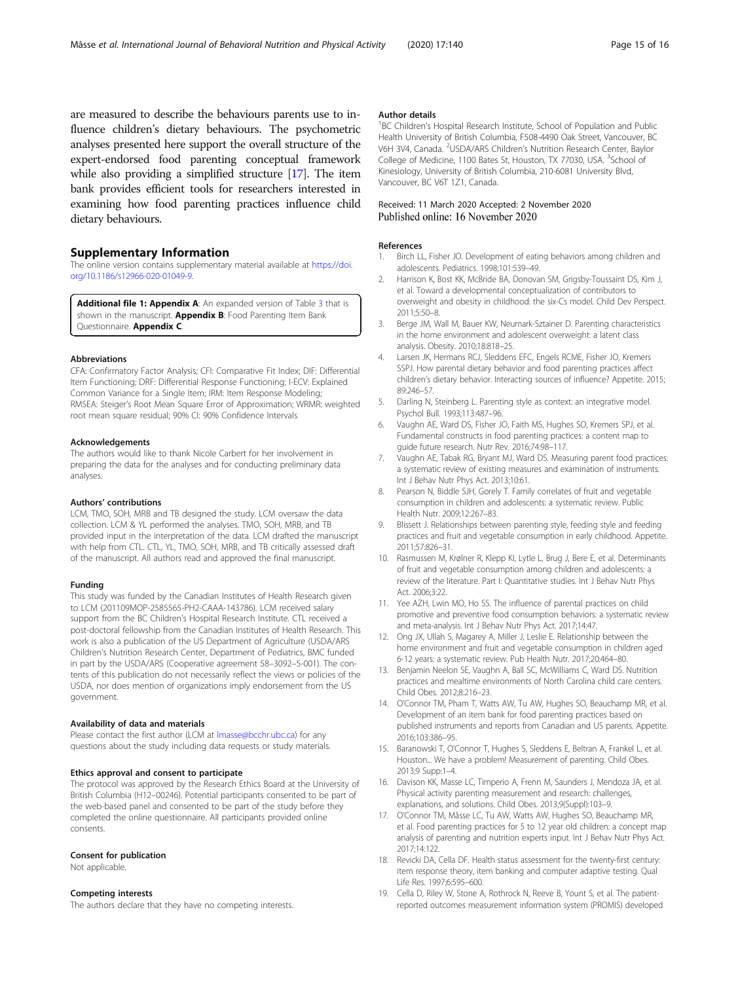<span id="page-14-0"></span>are measured to describe the behaviours parents use to influence children's dietary behaviours. The psychometric analyses presented here support the overall structure of the expert-endorsed food parenting conceptual framework while also providing a simplified structure [17]. The item bank provides efficient tools for researchers interested in examining how food parenting practices influence child dietary behaviours.

# Supplementary Information

The online version contains supplementary material available at [https://doi.](https://doi.org/10.1186/s12966-020-01049-9) [org/10.1186/s12966-020-01049-9.](https://doi.org/10.1186/s12966-020-01049-9)

Additional file 1: Appendix A: An expanded version of Table 3 that is shown in the manuscript. Appendix B: Food Parenting Item Bank Questionnaire. Appendix C.

#### Abbreviations

CFA: Confirmatory Factor Analysis; CFI: Comparative Fit Index; DIF: Differential Item Functioning; DRF: Differential Response Functioning; I-ECV: Explained Common Variance for a Single Item; IRM: Item Response Modeling; RMSEA: Steiger's Root Mean Square Error of Approximation; WRMR: weighted root mean square residual; 90% CI: 90% Confidence Intervals

#### Acknowledgements

The authors would like to thank Nicole Carbert for her involvement in preparing the data for the analyses and for conducting preliminary data analyses.

#### Authors' contributions

LCM, TMO, SOH, MRB and TB designed the study. LCM oversaw the data collection. LCM & YL performed the analyses. TMO, SOH, MRB, and TB provided input in the interpretation of the data. LCM drafted the manuscript with help from CTL. CTL, YL, TMO, SOH, MRB, and TB critically assessed draft of the manuscript. All authors read and approved the final manuscript.

#### Funding

This study was funded by the Canadian Institutes of Health Research given to LCM (201109MOP-2585565-PH2-CAAA-143786). LCM received salary support from the BC Children's Hospital Research Institute. CTL received a post-doctoral fellowship from the Canadian Institutes of Health Research. This work is also a publication of the US Department of Agriculture (USDA/ARS Children's Nutrition Research Center, Department of Pediatrics, BMC funded in part by the USDA/ARS (Cooperative agreement 58–3092–5-001). The contents of this publication do not necessarily reflect the views or policies of the USDA, nor does mention of organizations imply endorsement from the US government.

#### Availability of data and materials

Please contact the first author (LCM at Imasse@bcchr.ubc.ca) for any questions about the study including data requests or study materials.

#### Ethics approval and consent to participate

The protocol was approved by the Research Ethics Board at the University of British Columbia (H12–00246). Potential participants consented to be part of the web-based panel and consented to be part of the study before they completed the online questionnaire. All participants provided online consents.

#### Consent for publication

Not applicable.

# Competing interests

The authors declare that they have no competing interests.

#### Author details

<sup>1</sup>BC Children's Hospital Research Institute, School of Population and Public Health University of British Columbia, F508-4490 Oak Street, Vancouver, BC V6H 3V4, Canada. <sup>2</sup>USDA/ARS Children's Nutrition Research Center, Baylor College of Medicine, 1100 Bates St, Houston, TX 77030, USA. <sup>3</sup>School of Kinesiology, University of British Columbia, 210-6081 University Blvd, Vancouver, BC V6T 1Z1, Canada.

# Received: 11 March 2020 Accepted: 2 November 2020<br>Published online: 16 November 2020

#### References

- 1. Birch LL, Fisher JO. Development of eating behaviors among children and adolescents. Pediatrics. 1998;101:539–49.
- 2. Harrison K, Bost KK, McBride BA, Donovan SM, Grigsby-Toussaint DS, Kim J, et al. Toward a developmental conceptualization of contributors to overweight and obesity in childhood: the six-Cs model. Child Dev Perspect. 2011;5:50–8.
- 3. Berge JM, Wall M, Bauer KW, Neumark-Sztainer D. Parenting characteristics in the home environment and adolescent overweight: a latent class analysis. Obesity. 2010;18:818–25.
- 4. Larsen JK, Hermans RCJ, Sleddens EFC, Engels RCME, Fisher JO, Kremers SSPJ. How parental dietary behavior and food parenting practices affect children's dietary behavior. Interacting sources of influence? Appetite. 2015; 89:246–57.
- 5. Darling N, Steinberg L. Parenting style as context: an integrative model. Psychol Bull. 1993;113:487–96.
- Vaughn AE, Ward DS, Fisher JO, Faith MS, Hughes SO, Kremers SPJ, et al. Fundamental constructs in food parenting practices: a content map to guide future research. Nutr Rev. 2016;74:98–117.
- 7. Vaughn AE, Tabak RG, Bryant MJ, Ward DS. Measuring parent food practices: a systematic review of existing measures and examination of instruments. Int J Behav Nutr Phys Act. 2013;10:61.
- 8. Pearson N, Biddle SJH, Gorely T. Family correlates of fruit and vegetable consumption in children and adolescents: a systematic review. Public Health Nutr. 2009;12:267–83.
- 9. Blissett J. Relationships between parenting style, feeding style and feeding practices and fruit and vegetable consumption in early childhood. Appetite. 2011;57:826–31.
- 10. Rasmussen M, Krølner R, Klepp KI, Lytle L, Brug J, Bere E, et al. Determinants of fruit and vegetable consumption among children and adolescents: a review of the literature. Part I: Quantitative studies. Int J Behav Nutr Phys Act. 2006;3:22.
- 11. Yee AZH, Lwin MO, Ho SS. The influence of parental practices on child promotive and preventive food consumption behaviors: a systematic review and meta-analysis. Int J Behav Nutr Phys Act. 2017;14:47.
- 12. Ong JX, Ullah S, Magarey A, Miller J, Leslie E. Relationship between the home environment and fruit and vegetable consumption in children aged 6-12 years: a systematic review. Pub Health Nutr. 2017;20:464–80.
- 13. Benjamin Neelon SE, Vaughn A, Ball SC, McWilliams C, Ward DS. Nutrition practices and mealtime environments of North Carolina child care centers. Child Obes. 2012;8:216–23.
- 14. O'Connor TM, Pham T, Watts AW, Tu AW, Hughes SO, Beauchamp MR, et al. Development of an item bank for food parenting practices based on published instruments and reports from Canadian and US parents. Appetite. 2016;103:386–95.
- 15. Baranowski T, O'Connor T, Hughes S, Sleddens E, Beltran A, Frankel L, et al. Houston... We have a problem! Measurement of parenting. Child Obes. 2013;9 Supp:1–4.
- 16. Davison KK, Masse LC, Timperio A, Frenn M, Saunders J, Mendoza JA, et al. Physical activity parenting measurement and research: challenges, explanations, and solutions. Child Obes. 2013;9(Suppl):103–9.
- 17. O'Connor TM, Mâsse LC, Tu AW, Watts AW, Hughes SO, Beauchamp MR, et al. Food parenting practices for 5 to 12 year old children: a concept map analysis of parenting and nutrition experts input. Int J Behav Nutr Phys Act. 2017;14:122.
- 18. Revicki DA, Cella DF. Health status assessment for the twenty-first century: item response theory, item banking and computer adaptive testing. Qual Life Res. 1997;6:595–600.
- 19. Cella D, Riley W, Stone A, Rothrock N, Reeve B, Yount S, et al. The patientreported outcomes measurement information system (PROMIS) developed